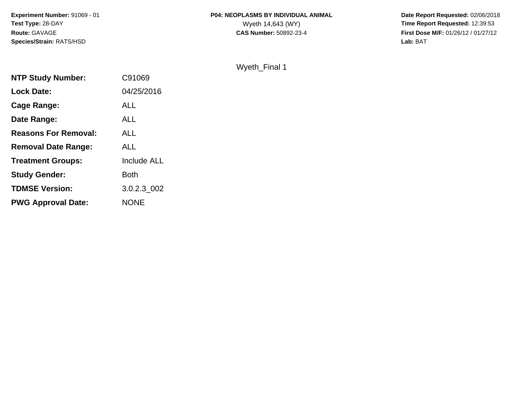# **P04: NEOPLASMS BY INDIVIDUAL ANIMAL**<br>Wyeth 14,643 (WY)

 **Date Report Requested:** 02/06/2018 Wyeth 14,643 (WY) **Time Report Requested:** 12:39:53<br>**CAS Number:** 50892-23-4 **Time Report Requested:** 12:39:53 **First Dose M/F:** 01/26/12 / 01/27/12<br>**Lab:** BAT **Lab:** BAT

### Wyeth\_Final 1

| <b>NTP Study Number:</b>    | C91069             |
|-----------------------------|--------------------|
| <b>Lock Date:</b>           | 04/25/2016         |
| Cage Range:                 | <b>ALL</b>         |
| Date Range:                 | ALL                |
| <b>Reasons For Removal:</b> | <b>ALL</b>         |
| <b>Removal Date Range:</b>  | ALL                |
| <b>Treatment Groups:</b>    | <b>Include ALL</b> |
| <b>Study Gender:</b>        | <b>Both</b>        |
| <b>TDMSE Version:</b>       | 3.0.2.3 002        |
| <b>PWG Approval Date:</b>   | <b>NONE</b>        |
|                             |                    |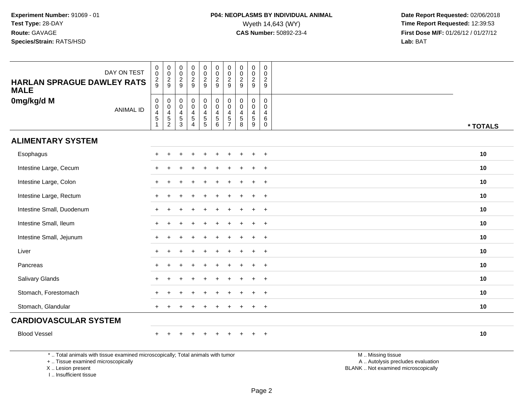| DAY ON TEST<br><b>HARLAN SPRAGUE DAWLEY RATS</b><br><b>MALE</b> | $\begin{smallmatrix} 0\\0 \end{smallmatrix}$<br>$\frac{2}{9}$               | $\begin{smallmatrix}0\\0\end{smallmatrix}$<br>$\frac{2}{9}$            | $\begin{smallmatrix}0\\0\end{smallmatrix}$<br>$\overline{c}$<br>9    | $_{\rm 0}^{\rm 0}$<br>$\frac{2}{9}$                                                                        | $\begin{array}{c} 0 \\ 0 \\ 2 \\ 9 \end{array}$                                                        | $_{\rm 0}^{\rm 0}$<br>$\frac{2}{9}$                                  | $\begin{smallmatrix} 0\\0 \end{smallmatrix}$<br>$\frac{2}{9}$                                  | $\begin{array}{c} 0 \\ 0 \\ 2 \\ 9 \end{array}$                   | $\begin{smallmatrix}0\0\0\end{smallmatrix}$<br>$\frac{2}{9}$ | $_{\rm 0}^{\rm 0}$<br>$\frac{2}{9}$                    |          |
|-----------------------------------------------------------------|-----------------------------------------------------------------------------|------------------------------------------------------------------------|----------------------------------------------------------------------|------------------------------------------------------------------------------------------------------------|--------------------------------------------------------------------------------------------------------|----------------------------------------------------------------------|------------------------------------------------------------------------------------------------|-------------------------------------------------------------------|--------------------------------------------------------------|--------------------------------------------------------|----------|
| 0mg/kg/d M<br><b>ANIMAL ID</b>                                  | $_{\rm 0}^{\rm 0}$<br>$\overline{\mathbf{4}}$<br>$\sqrt{5}$<br>$\mathbf{1}$ | $\mathbf 0$<br>$\mathbf 0$<br>$\overline{\mathbf{4}}$<br>$\frac{5}{2}$ | $\pmb{0}$<br>$\pmb{0}$<br>$\overline{\mathbf{4}}$<br>$\sqrt{5}$<br>3 | $\begin{smallmatrix}0\0\0\end{smallmatrix}$<br>$\overline{\mathbf{4}}$<br>$\overline{5}$<br>$\overline{4}$ | $\begin{smallmatrix}0\0\0\end{smallmatrix}$<br>$\overline{4}$<br>$\begin{array}{c} 5 \\ 5 \end{array}$ | $_{\rm 0}^{\rm 0}$<br>$\overline{4}$<br>$\sqrt{5}$<br>$6\phantom{1}$ | $\begin{smallmatrix} 0\\0 \end{smallmatrix}$<br>$\overline{4}$<br>$\sqrt{5}$<br>$\overline{7}$ | $\mathbf 0$<br>$\pmb{0}$<br>$\overline{4}$<br>$\overline{5}$<br>8 | 0<br>$\mathbf 0$<br>$\overline{4}$<br>5<br>9                 | 0<br>$\mathbf 0$<br>$\overline{4}$<br>6<br>$\mathbf 0$ | * TOTALS |
| <b>ALIMENTARY SYSTEM</b>                                        |                                                                             |                                                                        |                                                                      |                                                                                                            |                                                                                                        |                                                                      |                                                                                                |                                                                   |                                                              |                                                        |          |
| Esophagus                                                       |                                                                             |                                                                        |                                                                      |                                                                                                            | ÷                                                                                                      |                                                                      |                                                                                                |                                                                   | $\ddot{}$                                                    | $^{+}$                                                 | 10       |
| Intestine Large, Cecum                                          |                                                                             |                                                                        |                                                                      |                                                                                                            |                                                                                                        |                                                                      |                                                                                                |                                                                   | $\ddot{}$                                                    | $\overline{+}$                                         | 10       |
| Intestine Large, Colon                                          |                                                                             |                                                                        |                                                                      |                                                                                                            |                                                                                                        |                                                                      |                                                                                                |                                                                   | ÷                                                            | $\overline{+}$                                         | 10       |
| Intestine Large, Rectum                                         |                                                                             |                                                                        |                                                                      |                                                                                                            |                                                                                                        |                                                                      |                                                                                                |                                                                   |                                                              | $\ddot{}$                                              | 10       |
| Intestine Small, Duodenum                                       |                                                                             |                                                                        |                                                                      |                                                                                                            |                                                                                                        |                                                                      |                                                                                                |                                                                   | $\ddot{}$                                                    | $^{+}$                                                 | 10       |
| Intestine Small, Ileum                                          |                                                                             |                                                                        |                                                                      |                                                                                                            |                                                                                                        |                                                                      |                                                                                                |                                                                   | $\ddot{}$                                                    | $+$                                                    | 10       |
| Intestine Small, Jejunum                                        | $\ddot{}$                                                                   | $\ddot{}$                                                              |                                                                      |                                                                                                            |                                                                                                        |                                                                      |                                                                                                |                                                                   | $\ddot{}$                                                    | $^{+}$                                                 | 10       |
| Liver                                                           |                                                                             |                                                                        |                                                                      |                                                                                                            |                                                                                                        |                                                                      |                                                                                                |                                                                   | $\ddot{}$                                                    | $\overline{+}$                                         | 10       |
| Pancreas                                                        |                                                                             |                                                                        |                                                                      |                                                                                                            |                                                                                                        |                                                                      |                                                                                                |                                                                   | ÷                                                            | $+$                                                    | 10       |
| Salivary Glands                                                 |                                                                             |                                                                        |                                                                      |                                                                                                            |                                                                                                        |                                                                      |                                                                                                |                                                                   | $\ddot{}$                                                    | $+$                                                    | 10       |
| Stomach, Forestomach                                            |                                                                             |                                                                        |                                                                      |                                                                                                            |                                                                                                        |                                                                      |                                                                                                |                                                                   | $\ddot{}$                                                    | $+$                                                    | 10       |
| Stomach, Glandular                                              | $+$                                                                         |                                                                        |                                                                      |                                                                                                            |                                                                                                        |                                                                      |                                                                                                |                                                                   | $\ddot{}$                                                    | $+$                                                    | 10       |
| <b>CARDIOVASCULAR SYSTEM</b>                                    |                                                                             |                                                                        |                                                                      |                                                                                                            |                                                                                                        |                                                                      |                                                                                                |                                                                   |                                                              |                                                        |          |
| <b>Blood Vessel</b>                                             |                                                                             |                                                                        |                                                                      |                                                                                                            | $\div$                                                                                                 |                                                                      |                                                                                                |                                                                   |                                                              | $\ddot{}$                                              | 10       |

\* .. Total animals with tissue examined microscopically; Total animals with tumor

+ .. Tissue examined microscopically

X .. Lesion present

I .. Insufficient tissue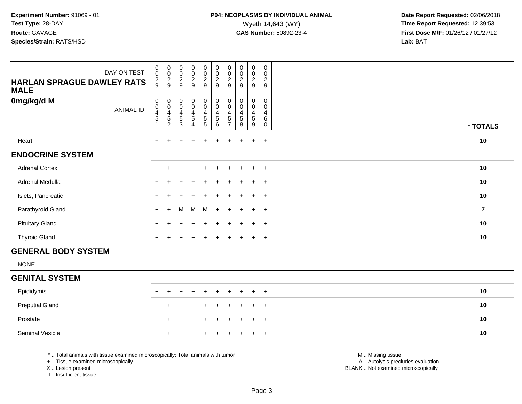| DAY ON TEST<br><b>HARLAN SPRAGUE DAWLEY RATS</b><br><b>MALE</b> | $\begin{smallmatrix}0\\0\end{smallmatrix}$<br>$\frac{2}{9}$ | $_{\rm 0}^{\rm 0}$<br>$\frac{2}{9}$     | $_{0}^{0}$<br>$\boldsymbol{2}$<br>9 | $\begin{smallmatrix}0\0\0\end{smallmatrix}$<br>$\frac{2}{9}$ | 00029                                                    | 00029                                                    | $\begin{smallmatrix} 0\\0 \end{smallmatrix}$<br>$\frac{2}{9}$ | $_{\rm 0}^{\rm 0}$<br>$\frac{2}{9}$ | $\begin{smallmatrix}0\0\0\end{smallmatrix}$<br>$\overline{c}$<br>9 | $\mathbf 0$<br>0<br>$\overline{\mathbf{c}}$<br>9 |                         |
|-----------------------------------------------------------------|-------------------------------------------------------------|-----------------------------------------|-------------------------------------|--------------------------------------------------------------|----------------------------------------------------------|----------------------------------------------------------|---------------------------------------------------------------|-------------------------------------|--------------------------------------------------------------------|--------------------------------------------------|-------------------------|
| 0mg/kg/d M<br>ANIMAL ID                                         | 0<br>$\pmb{0}$<br>$\overline{4}$<br>5                       | 0<br>$\pmb{0}$<br>4<br>$\,$ 5 $\,$<br>2 | 0<br>$\pmb{0}$<br>4<br>5<br>3       | 0<br>$\boldsymbol{0}$<br>4<br>5<br>4                         | $_{\rm 0}^{\rm 0}$<br>$\overline{4}$<br>$\mathbf 5$<br>5 | $_{\rm 0}^{\rm 0}$<br>$\overline{4}$<br>$\,$ 5 $\,$<br>6 | $_{\rm 0}^{\rm 0}$<br>$\overline{4}$<br>5                     | 0<br>$\pmb{0}$<br>4<br>5<br>8       | 0<br>$\pmb{0}$<br>4<br>$\,$ 5 $\,$<br>9                            | $\mathbf 0$<br>0<br>4<br>6<br>$\Omega$           | * TOTALS                |
| Heart                                                           | $+$                                                         |                                         |                                     | $\pm$                                                        | $+$                                                      | $\ddot{}$                                                | $+$                                                           | $+$                                 | $\ddot{}$                                                          | $+$                                              | 10                      |
| <b>ENDOCRINE SYSTEM</b>                                         |                                                             |                                         |                                     |                                                              |                                                          |                                                          |                                                               |                                     |                                                                    |                                                  |                         |
| <b>Adrenal Cortex</b>                                           |                                                             |                                         |                                     |                                                              |                                                          |                                                          |                                                               |                                     |                                                                    | $+$                                              | 10                      |
| Adrenal Medulla                                                 |                                                             |                                         |                                     | $\ddot{}$                                                    | $\pm$                                                    | $+$                                                      | $+$                                                           | $\pm$                               | $+$                                                                | $+$                                              | 10                      |
| Islets, Pancreatic                                              |                                                             |                                         |                                     |                                                              |                                                          |                                                          |                                                               |                                     | $\div$                                                             | $+$                                              | 10                      |
| Parathyroid Gland                                               | $+$                                                         | $+$                                     | M                                   | M M                                                          |                                                          | $+$                                                      |                                                               | $\pm$                               | $\overline{+}$                                                     | $+$                                              | $\overline{\mathbf{r}}$ |
| <b>Pituitary Gland</b>                                          |                                                             |                                         |                                     |                                                              | $+$                                                      | $\ddot{}$                                                | $\ddot{}$                                                     | $\overline{+}$                      | $+$                                                                | $+$                                              | 10                      |
| <b>Thyroid Gland</b>                                            | $+$                                                         |                                         |                                     | $\ddot{}$                                                    | $+$                                                      | $\ddot{}$                                                | $\ddot{}$                                                     | $+$                                 | $+$                                                                | $+$                                              | 10                      |
| <b>GENERAL BODY SYSTEM</b>                                      |                                                             |                                         |                                     |                                                              |                                                          |                                                          |                                                               |                                     |                                                                    |                                                  |                         |

NONE

#### **GENITAL SYSTEM**

| Epididymis             | + + + + + + + + + + |  |  |  |  | 10 |
|------------------------|---------------------|--|--|--|--|----|
| <b>Preputial Gland</b> | + + + + + + + + + + |  |  |  |  | 10 |
| Prostate               | + + + + + + + + + + |  |  |  |  | 10 |
| Seminal Vesicle        | + + + + + + + + + + |  |  |  |  | 10 |

\* .. Total animals with tissue examined microscopically; Total animals with tumor

+ .. Tissue examined microscopically

X .. Lesion present

I .. Insufficient tissue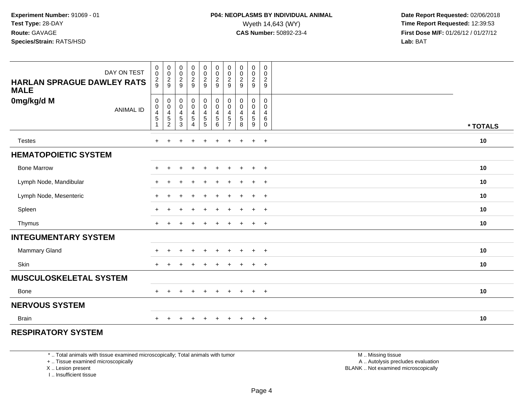| DAY ON TEST<br><b>HARLAN SPRAGUE DAWLEY RATS</b><br><b>MALE</b> | 0<br>$\mathbf 0$<br>$\frac{2}{9}$                                                    | $_{\rm 0}^{\rm 0}$<br>$\frac{2}{9}$                          | 00029                                                                     | $\mathbf 0$<br>$\frac{0}{2}$                              | $\pmb{0}$<br>$\pmb{0}$<br>$\frac{2}{9}$                     | $\pmb{0}$<br>$\frac{0}{2}$                | 0<br>$\pmb{0}$<br>$\overline{\mathbf{c}}$<br>$9\,$        | 00029                                                                             | 0<br>$\mathbf 0$<br>$\overline{2}$<br>$\boldsymbol{9}$         | $\pmb{0}$<br>$\mathbf 0$<br>$\overline{2}$<br>9           |          |
|-----------------------------------------------------------------|--------------------------------------------------------------------------------------|--------------------------------------------------------------|---------------------------------------------------------------------------|-----------------------------------------------------------|-------------------------------------------------------------|-------------------------------------------|-----------------------------------------------------------|-----------------------------------------------------------------------------------|----------------------------------------------------------------|-----------------------------------------------------------|----------|
| 0mg/kg/d M<br><b>ANIMAL ID</b>                                  | $\mathbf 0$<br>$\pmb{0}$<br>$\overline{\mathbf{4}}$<br>$\,$ 5 $\,$<br>$\overline{1}$ | 0<br>$\mathbf 0$<br>$\overline{\mathbf{4}}$<br>$\frac{5}{2}$ | $\mathbf 0$<br>$\pmb{0}$<br>$\overline{4}$<br>$\,$ 5 $\,$<br>$\mathbf{3}$ | $\pmb{0}$<br>$\pmb{0}$<br>$\frac{4}{5}$<br>$\overline{4}$ | $\pmb{0}$<br>$\mathbf 0$<br>$\overline{4}$<br>$\frac{5}{5}$ | $\mathbf 0$<br>$\mathbf 0$<br>4<br>5<br>6 | 0<br>0<br>$\overline{4}$<br>$\mathbf 5$<br>$\overline{7}$ | $\pmb{0}$<br>$\pmb{0}$<br>$\overline{4}$<br>$\begin{array}{c} 5 \\ 8 \end{array}$ | 0<br>$\mathsf{O}\xspace$<br>$\overline{4}$<br>$\,$ 5 $\,$<br>9 | $\mathbf 0$<br>$\mathbf 0$<br>4<br>$\,6\,$<br>$\mathbf 0$ | * TOTALS |
| <b>Testes</b>                                                   | $\ddot{}$                                                                            | $\div$                                                       | +                                                                         | $\ddot{}$                                                 | $\ddot{}$                                                   | $+$                                       | $+$                                                       | $\ddot{}$                                                                         | $+$                                                            | $+$                                                       | 10       |
| <b>HEMATOPOIETIC SYSTEM</b>                                     |                                                                                      |                                                              |                                                                           |                                                           |                                                             |                                           |                                                           |                                                                                   |                                                                |                                                           |          |
| <b>Bone Marrow</b>                                              | $+$                                                                                  | $+$                                                          | $\pm$                                                                     | $+$                                                       | $\ddot{}$                                                   | $+$                                       | $+$                                                       | $\overline{+}$                                                                    | $+$                                                            | $+$                                                       | 10       |
| Lymph Node, Mandibular                                          | $+$                                                                                  | $\ddot{}$                                                    |                                                                           | $\ddot{}$                                                 | $\div$                                                      | $\ddot{}$                                 | $\pm$                                                     | $\overline{+}$                                                                    | $+$                                                            | $+$                                                       | 10       |
| Lymph Node, Mesenteric                                          | $+$                                                                                  | ÷                                                            |                                                                           | $\ddot{}$                                                 | $\div$                                                      | $\ddot{}$                                 | $\pm$                                                     | $\pm$                                                                             | $+$                                                            | $+$                                                       | 10       |
| Spleen                                                          | $\pm$                                                                                | $\div$                                                       |                                                                           | $\ddot{}$                                                 | $\pm$                                                       | $\ddot{}$                                 | $\pm$                                                     | $\overline{ }$                                                                    | $+$                                                            | $+$                                                       | 10       |
| Thymus                                                          | $+$                                                                                  | ÷                                                            |                                                                           | $\ddot{}$                                                 | $\pm$                                                       | $\ddot{}$                                 | $\pm$                                                     | $\pm$                                                                             | $+$                                                            | $+$                                                       | 10       |
| <b>INTEGUMENTARY SYSTEM</b>                                     |                                                                                      |                                                              |                                                                           |                                                           |                                                             |                                           |                                                           |                                                                                   |                                                                |                                                           |          |
| <b>Mammary Gland</b>                                            | $\pm$                                                                                | ÷                                                            | $\div$                                                                    | $\overline{+}$                                            | $\pm$                                                       | $+$                                       | $\pm$                                                     | $\overline{+}$                                                                    | $+$                                                            | $+$                                                       | 10       |
| Skin                                                            | $+$                                                                                  | $\div$                                                       |                                                                           |                                                           |                                                             | $\div$                                    | $\div$                                                    | $\overline{ }$                                                                    | $+$                                                            | $+$                                                       | 10       |
| <b>MUSCULOSKELETAL SYSTEM</b>                                   |                                                                                      |                                                              |                                                                           |                                                           |                                                             |                                           |                                                           |                                                                                   |                                                                |                                                           |          |
| <b>Bone</b>                                                     | $+$                                                                                  | $\ddot{}$                                                    | $\pm$                                                                     | $+$                                                       | $\ddot{}$                                                   | $\ddot{}$                                 | $\ddot{}$                                                 | $+$                                                                               | $+$                                                            | $+$                                                       | 10       |
| <b>NERVOUS SYSTEM</b>                                           |                                                                                      |                                                              |                                                                           |                                                           |                                                             |                                           |                                                           |                                                                                   |                                                                |                                                           |          |
| <b>Brain</b>                                                    | $\ddot{}$                                                                            |                                                              |                                                                           |                                                           |                                                             |                                           |                                                           |                                                                                   | $\ddot{}$                                                      | $+$                                                       | 10       |

#### **RESPIRATORY SYSTEM**

\* .. Total animals with tissue examined microscopically; Total animals with tumor

+ .. Tissue examined microscopically

X .. Lesion present

I .. Insufficient tissue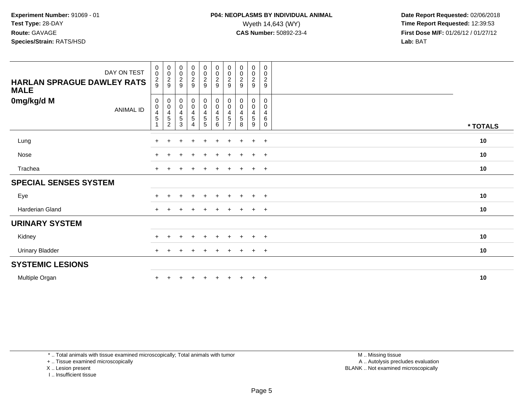| DAY ON TEST<br><b>HARLAN SPRAGUE DAWLEY RATS</b><br><b>MALE</b> | $_{\rm 0}^{\rm 0}$<br>$\frac{2}{9}$ | $\begin{array}{c} 0 \\ 0 \\ 2 \\ 9 \end{array}$ | 00029                                                           | $\begin{array}{c} 0 \\ 0 \\ 2 \\ 9 \end{array}$ | $\begin{array}{c} 0 \\ 0 \\ 2 \\ 9 \end{array}$ | 00029                                          | $\begin{array}{c} 0 \\ 0 \\ 2 \\ 9 \end{array}$                                                         | $\begin{array}{c} 0 \\ 0 \\ 2 \\ 9 \end{array}$ | $_0^0$<br>$\frac{2}{9}$                        | 0<br>$\mathbf 0$<br>$\frac{2}{9}$             |          |
|-----------------------------------------------------------------|-------------------------------------|-------------------------------------------------|-----------------------------------------------------------------|-------------------------------------------------|-------------------------------------------------|------------------------------------------------|---------------------------------------------------------------------------------------------------------|-------------------------------------------------|------------------------------------------------|-----------------------------------------------|----------|
| 0mg/kg/d M<br><b>ANIMAL ID</b>                                  | 0<br>$\,0\,$<br>$\frac{4}{5}$       | $0004$<br>$52$                                  | $\begin{array}{c} 0 \\ 0 \\ 4 \\ 5 \end{array}$<br>$\mathbf{3}$ | $_0^0$<br>$\frac{4}{5}$<br>4                    | $_{\rm 0}^{\rm 0}$<br>$\frac{4}{5}$<br>5        | $_{\rm 0}^{\rm 0}$<br>$\frac{4}{5}$<br>$\,6\,$ | $\begin{smallmatrix} 0\\0 \end{smallmatrix}$<br>$\begin{array}{c} 4 \\ 5 \end{array}$<br>$\overline{7}$ | 00045<br>8                                      | 0<br>$\mathsf{O}\xspace$<br>$\frac{4}{5}$<br>9 | 0<br>$\mathbf 0$<br>4<br>$\,6$<br>$\mathbf 0$ | * TOTALS |
| Lung                                                            | $\ddot{}$                           |                                                 | ÷                                                               | $\ddot{}$                                       | $\ddot{}$                                       | $\ddot{}$                                      | $\div$                                                                                                  | $\ddot{}$                                       | $\ddot{}$                                      | $+$                                           | 10       |
| Nose                                                            | $\ddot{}$                           |                                                 |                                                                 | $\div$                                          |                                                 | $\ddot{}$                                      |                                                                                                         |                                                 | $\ddot{}$                                      | $+$                                           | 10       |
| Trachea                                                         | $\ddot{}$                           |                                                 |                                                                 |                                                 |                                                 | ÷                                              |                                                                                                         |                                                 | $\ddot{}$                                      | $+$                                           | 10       |
| <b>SPECIAL SENSES SYSTEM</b>                                    |                                     |                                                 |                                                                 |                                                 |                                                 |                                                |                                                                                                         |                                                 |                                                |                                               |          |
| Eye                                                             | $\pm$                               |                                                 |                                                                 |                                                 |                                                 |                                                |                                                                                                         |                                                 | $\div$                                         | $^{+}$                                        | 10       |
| Harderian Gland                                                 | $+$                                 |                                                 |                                                                 | $\ddot{}$                                       | $+$                                             | $+$                                            | $+$                                                                                                     | $+$                                             | $\ddot{}$                                      | $+$                                           | 10       |
| <b>URINARY SYSTEM</b>                                           |                                     |                                                 |                                                                 |                                                 |                                                 |                                                |                                                                                                         |                                                 |                                                |                                               |          |
| Kidney                                                          | $\pm$                               |                                                 |                                                                 |                                                 |                                                 |                                                |                                                                                                         |                                                 |                                                | $\pm$                                         | 10       |
| <b>Urinary Bladder</b>                                          | $+$                                 |                                                 |                                                                 | $\div$                                          | $\ddot{}$                                       | $\ddot{}$                                      | $\div$                                                                                                  | $\pm$                                           | $\ddot{}$                                      | $+$                                           | 10       |
| <b>SYSTEMIC LESIONS</b>                                         |                                     |                                                 |                                                                 |                                                 |                                                 |                                                |                                                                                                         |                                                 |                                                |                                               |          |
| Multiple Organ                                                  | $\pm$                               |                                                 |                                                                 |                                                 |                                                 |                                                |                                                                                                         | $\pm$                                           | $\ddot{}$                                      | $+$                                           | 10       |

\* .. Total animals with tissue examined microscopically; Total animals with tumor

+ .. Tissue examined microscopically

X .. Lesion present

I .. Insufficient tissue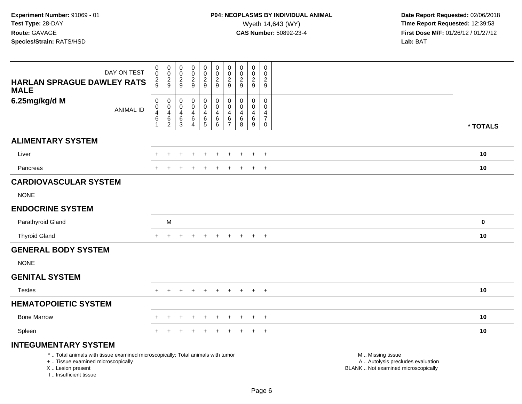| DAY ON TEST<br><b>HARLAN SPRAGUE DAWLEY RATS</b><br><b>MALE</b>                                                                                                     | 0<br>$\mathsf{O}\xspace$<br>$\frac{2}{9}$        | $\begin{array}{c} 0 \\ 0 \\ 2 \\ 9 \end{array}$                       | 0<br>$\mathsf{O}\xspace$<br>$\frac{2}{9}$                  | $\boldsymbol{0}$<br>$\mathbf 0$<br>$\overline{c}$<br>9     | 0<br>$\frac{0}{2}$                                                   | $\pmb{0}$<br>$\pmb{0}$<br>$\frac{2}{9}$                           | $\mathbf 0$<br>$\pmb{0}$<br>$\overline{c}$<br>9        | 0<br>$\pmb{0}$<br>$\frac{2}{9}$                             | $\mathsf 0$<br>$\mathbf 0$<br>$\sqrt{2}$<br>$\boldsymbol{9}$              | $\boldsymbol{0}$<br>$\mathbf 0$<br>$\overline{2}$<br>$\boldsymbol{9}$ |                                                                                               |             |
|---------------------------------------------------------------------------------------------------------------------------------------------------------------------|--------------------------------------------------|-----------------------------------------------------------------------|------------------------------------------------------------|------------------------------------------------------------|----------------------------------------------------------------------|-------------------------------------------------------------------|--------------------------------------------------------|-------------------------------------------------------------|---------------------------------------------------------------------------|-----------------------------------------------------------------------|-----------------------------------------------------------------------------------------------|-------------|
| 6.25mg/kg/d M<br><b>ANIMAL ID</b>                                                                                                                                   | $\mathbf 0$<br>0<br>4<br>$\,6$<br>$\overline{1}$ | $\pmb{0}$<br>$\pmb{0}$<br>$\overline{4}$<br>$\,6\,$<br>$\overline{c}$ | $\mathbf 0$<br>$\mathbf 0$<br>4<br>$\,6\,$<br>$\mathbf{3}$ | $\mathbf 0$<br>$\mathbf 0$<br>4<br>$\,6$<br>$\overline{4}$ | $\pmb{0}$<br>$\mathbf 0$<br>$\overline{\mathbf{4}}$<br>$\frac{6}{5}$ | $\boldsymbol{0}$<br>$\mathbf 0$<br>$\overline{4}$<br>$\,6\,$<br>6 | $\mathbf 0$<br>$\mathbf 0$<br>4<br>6<br>$\overline{7}$ | 0<br>$\mathbf 0$<br>$\overline{\mathbf{4}}$<br>6<br>$\,8\,$ | $\pmb{0}$<br>$\mathbf 0$<br>$\overline{4}$<br>$\,6\,$<br>$\boldsymbol{9}$ | $\mathbf 0$<br>$\mathbf 0$<br>4<br>$\overline{7}$<br>$\mathbf 0$      |                                                                                               | * TOTALS    |
| <b>ALIMENTARY SYSTEM</b>                                                                                                                                            |                                                  |                                                                       |                                                            |                                                            |                                                                      |                                                                   |                                                        |                                                             |                                                                           |                                                                       |                                                                                               |             |
| Liver                                                                                                                                                               |                                                  |                                                                       |                                                            |                                                            |                                                                      |                                                                   |                                                        |                                                             |                                                                           | $\ddot{}$                                                             |                                                                                               | 10          |
| Pancreas                                                                                                                                                            |                                                  |                                                                       |                                                            |                                                            |                                                                      |                                                                   |                                                        |                                                             |                                                                           | $\overline{+}$                                                        |                                                                                               | 10          |
| <b>CARDIOVASCULAR SYSTEM</b><br><b>NONE</b>                                                                                                                         |                                                  |                                                                       |                                                            |                                                            |                                                                      |                                                                   |                                                        |                                                             |                                                                           |                                                                       |                                                                                               |             |
| <b>ENDOCRINE SYSTEM</b>                                                                                                                                             |                                                  |                                                                       |                                                            |                                                            |                                                                      |                                                                   |                                                        |                                                             |                                                                           |                                                                       |                                                                                               |             |
| Parathyroid Gland                                                                                                                                                   |                                                  | M                                                                     |                                                            |                                                            |                                                                      |                                                                   |                                                        |                                                             |                                                                           |                                                                       |                                                                                               | $\mathbf 0$ |
| <b>Thyroid Gland</b>                                                                                                                                                | $+$                                              | $+$                                                                   | $\pm$                                                      | $\div$                                                     | $+$                                                                  | $+$                                                               | $+$                                                    | $+$                                                         | $+$                                                                       | $+$                                                                   |                                                                                               | 10          |
| <b>GENERAL BODY SYSTEM</b>                                                                                                                                          |                                                  |                                                                       |                                                            |                                                            |                                                                      |                                                                   |                                                        |                                                             |                                                                           |                                                                       |                                                                                               |             |
| <b>NONE</b>                                                                                                                                                         |                                                  |                                                                       |                                                            |                                                            |                                                                      |                                                                   |                                                        |                                                             |                                                                           |                                                                       |                                                                                               |             |
| <b>GENITAL SYSTEM</b>                                                                                                                                               |                                                  |                                                                       |                                                            |                                                            |                                                                      |                                                                   |                                                        |                                                             |                                                                           |                                                                       |                                                                                               |             |
| <b>Testes</b>                                                                                                                                                       |                                                  |                                                                       |                                                            |                                                            |                                                                      |                                                                   |                                                        |                                                             | $\div$                                                                    | $\overline{+}$                                                        |                                                                                               | 10          |
| <b>HEMATOPOIETIC SYSTEM</b>                                                                                                                                         |                                                  |                                                                       |                                                            |                                                            |                                                                      |                                                                   |                                                        |                                                             |                                                                           |                                                                       |                                                                                               |             |
| <b>Bone Marrow</b>                                                                                                                                                  |                                                  | ÷                                                                     | +                                                          | $\ddot{}$                                                  | $\ddot{}$                                                            |                                                                   | ÷                                                      | $\pm$                                                       | $\pm$                                                                     | $+$                                                                   |                                                                                               | 10          |
| Spleen                                                                                                                                                              |                                                  |                                                                       |                                                            |                                                            |                                                                      |                                                                   |                                                        |                                                             | $\overline{ }$                                                            | $+$                                                                   |                                                                                               | 10          |
| <b>INTEGUMENTARY SYSTEM</b>                                                                                                                                         |                                                  |                                                                       |                                                            |                                                            |                                                                      |                                                                   |                                                        |                                                             |                                                                           |                                                                       |                                                                                               |             |
| *  Total animals with tissue examined microscopically; Total animals with tumor<br>+  Tissue examined microscopically<br>X  Lesion present<br>I Insufficient tissue |                                                  |                                                                       |                                                            |                                                            |                                                                      |                                                                   |                                                        |                                                             |                                                                           |                                                                       | M  Missing tissue<br>A  Autolysis precludes evaluation<br>BLANK  Not examined microscopically |             |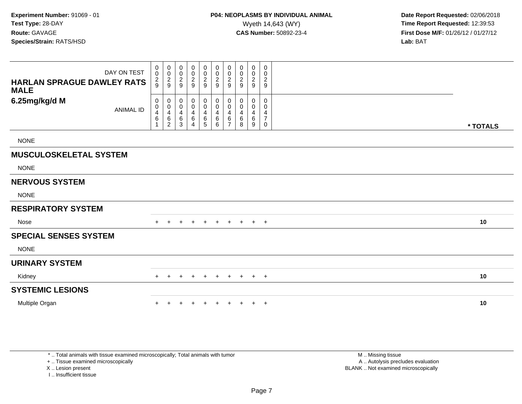| <b>HARLAN SPRAGUE DAWLEY RATS</b><br><b>MALE</b> | DAY ON TEST      | 0<br>$\mathbf 0$<br>$\frac{2}{9}$                                     | 0<br>$\pmb{0}$<br>$\frac{2}{9}$                   | 0<br>0<br>$\overline{c}$<br>9      | 0<br>$\pmb{0}$<br>$\sqrt{2}$<br>9                               | 0<br>0<br>$\frac{2}{9}$ | 0<br>$\pmb{0}$<br>$\frac{2}{9}$       | 0<br>$\pmb{0}$<br>$\overline{c}$<br>9 | 0<br>0<br>$\overline{\mathbf{c}}$<br>9 | $\mathbf 0$<br>$\mathbf 0$<br>$\overline{2}$<br>9 | 0<br>0<br>$\overline{2}$<br>9      |          |
|--------------------------------------------------|------------------|-----------------------------------------------------------------------|---------------------------------------------------|------------------------------------|-----------------------------------------------------------------|-------------------------|---------------------------------------|---------------------------------------|----------------------------------------|---------------------------------------------------|------------------------------------|----------|
| 6.25mg/kg/d M                                    | <b>ANIMAL ID</b> | $\pmb{0}$<br>$\pmb{0}$<br>$\overline{4}$<br>$\,6\,$<br>$\overline{1}$ | 0<br>$\pmb{0}$<br>$\overline{4}$<br>$\frac{6}{2}$ | 0<br>0<br>$\overline{4}$<br>$^6_3$ | $\boldsymbol{0}$<br>$\pmb{0}$<br>4<br>$\,6\,$<br>$\overline{4}$ | 0<br>0<br>4<br>$^6_5$   | $\pmb{0}$<br>$\pmb{0}$<br>4<br>$^6_6$ | 0<br>$\pmb{0}$<br>4<br>$\frac{6}{7}$  | 0<br>0<br>4<br>6<br>8                  | 0<br>0<br>4<br>6<br>9                             | 0<br>0<br>4<br>$\overline{7}$<br>0 | * TOTALS |
| <b>NONE</b>                                      |                  |                                                                       |                                                   |                                    |                                                                 |                         |                                       |                                       |                                        |                                                   |                                    |          |
| <b>MUSCULOSKELETAL SYSTEM</b>                    |                  |                                                                       |                                                   |                                    |                                                                 |                         |                                       |                                       |                                        |                                                   |                                    |          |
| <b>NONE</b>                                      |                  |                                                                       |                                                   |                                    |                                                                 |                         |                                       |                                       |                                        |                                                   |                                    |          |
| <b>NERVOUS SYSTEM</b>                            |                  |                                                                       |                                                   |                                    |                                                                 |                         |                                       |                                       |                                        |                                                   |                                    |          |
| <b>NONE</b>                                      |                  |                                                                       |                                                   |                                    |                                                                 |                         |                                       |                                       |                                        |                                                   |                                    |          |
| <b>RESPIRATORY SYSTEM</b>                        |                  |                                                                       |                                                   |                                    |                                                                 |                         |                                       |                                       |                                        |                                                   |                                    |          |
| Nose                                             |                  |                                                                       |                                                   |                                    | $\pm$                                                           | $\overline{+}$          | $+$                                   | $+$                                   | $+$                                    | $+$                                               | $+$                                | 10       |
| <b>SPECIAL SENSES SYSTEM</b>                     |                  |                                                                       |                                                   |                                    |                                                                 |                         |                                       |                                       |                                        |                                                   |                                    |          |
| <b>NONE</b>                                      |                  |                                                                       |                                                   |                                    |                                                                 |                         |                                       |                                       |                                        |                                                   |                                    |          |
| <b>URINARY SYSTEM</b>                            |                  |                                                                       |                                                   |                                    |                                                                 |                         |                                       |                                       |                                        |                                                   |                                    |          |
| Kidney                                           |                  | $+$                                                                   | $\overline{+}$                                    |                                    | $\ddot{}$                                                       | $\overline{+}$          | $+$                                   | $+$                                   | $+$                                    | $+$ $+$                                           |                                    | 10       |
| <b>SYSTEMIC LESIONS</b>                          |                  |                                                                       |                                                   |                                    |                                                                 |                         |                                       |                                       |                                        |                                                   |                                    |          |
| Multiple Organ                                   |                  | $\pm$                                                                 |                                                   |                                    |                                                                 |                         |                                       |                                       |                                        | $^+$                                              | $+$                                | 10       |

\* .. Total animals with tissue examined microscopically; Total animals with tumor

+ .. Tissue examined microscopically

X .. Lesion present

I .. Insufficient tissue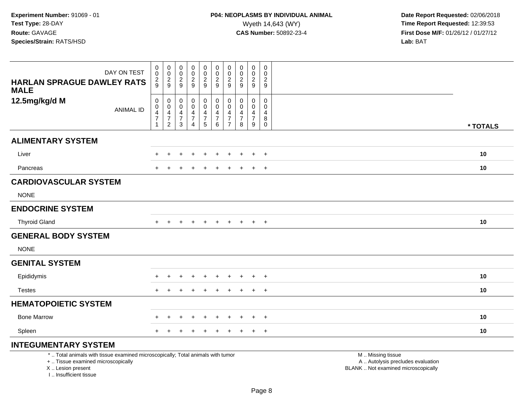| DAY ON TEST<br><b>HARLAN SPRAGUE DAWLEY RATS</b><br><b>MALE</b>                                                                            | $\begin{matrix} 0 \\ 0 \\ 2 \\ 9 \end{matrix}$                                         | $\begin{array}{c} 0 \\ 0 \\ 2 \\ 9 \end{array}$                                                      | $\mathbf 0$<br>$\mathsf 0$<br>$\frac{2}{9}$ | $\pmb{0}$<br>$\frac{0}{2}$                                                                | 0<br>$\pmb{0}$<br>$\frac{2}{9}$                                             | $\pmb{0}$<br>$\pmb{0}$<br>$\frac{2}{9}$                 | $\pmb{0}$<br>$\pmb{0}$<br>$\sqrt{2}$<br>$\boldsymbol{9}$                       | $\pmb{0}$<br>$\pmb{0}$<br>$\frac{2}{9}$ | $\pmb{0}$<br>$\mathsf{O}\xspace$<br>$\overline{c}$<br>9 | $\mathbf 0$<br>$\mathbf 0$<br>$\overline{c}$<br>$\boldsymbol{9}$  |                                                                                               |          |
|--------------------------------------------------------------------------------------------------------------------------------------------|----------------------------------------------------------------------------------------|------------------------------------------------------------------------------------------------------|---------------------------------------------|-------------------------------------------------------------------------------------------|-----------------------------------------------------------------------------|---------------------------------------------------------|--------------------------------------------------------------------------------|-----------------------------------------|---------------------------------------------------------|-------------------------------------------------------------------|-----------------------------------------------------------------------------------------------|----------|
| 12.5mg/kg/d M<br><b>ANIMAL ID</b>                                                                                                          | $\pmb{0}$<br>$\mathsf{O}$<br>$\overline{\mathbf{4}}$<br>$\overline{7}$<br>$\mathbf{1}$ | $\boldsymbol{0}$<br>$\boldsymbol{0}$<br>$\overline{\mathcal{A}}$<br>$\overline{7}$<br>$\overline{2}$ | 0<br>0<br>4<br>$\overline{7}$<br>3          | $\mathbf 0$<br>$\pmb{0}$<br>$\overline{\mathbf{4}}$<br>$\boldsymbol{7}$<br>$\overline{4}$ | 0<br>$\mathbf 0$<br>$\overline{4}$<br>$\begin{array}{c} 7 \\ 5 \end{array}$ | 0<br>$\pmb{0}$<br>4<br>$\overline{7}$<br>$6\phantom{1}$ | $\pmb{0}$<br>$\mathbf 0$<br>$\overline{4}$<br>$\overline{7}$<br>$\overline{7}$ | 0<br>0<br>4<br>$\overline{7}$<br>8      | 0<br>0<br>4<br>$\overline{7}$<br>9                      | $\mathbf 0$<br>$\mathbf{0}$<br>$\overline{4}$<br>8<br>$\mathbf 0$ |                                                                                               | * TOTALS |
| <b>ALIMENTARY SYSTEM</b>                                                                                                                   |                                                                                        |                                                                                                      |                                             |                                                                                           |                                                                             |                                                         |                                                                                |                                         |                                                         |                                                                   |                                                                                               |          |
| Liver                                                                                                                                      | ÷.                                                                                     | $\pm$                                                                                                |                                             |                                                                                           |                                                                             |                                                         |                                                                                |                                         | $\pm$                                                   | $+$                                                               |                                                                                               | 10       |
| Pancreas                                                                                                                                   |                                                                                        |                                                                                                      |                                             |                                                                                           | $\ddot{}$                                                                   |                                                         | $\ddot{}$                                                                      | $\pm$                                   | $\ddot{}$                                               | $+$                                                               |                                                                                               | 10       |
| <b>CARDIOVASCULAR SYSTEM</b>                                                                                                               |                                                                                        |                                                                                                      |                                             |                                                                                           |                                                                             |                                                         |                                                                                |                                         |                                                         |                                                                   |                                                                                               |          |
| <b>NONE</b>                                                                                                                                |                                                                                        |                                                                                                      |                                             |                                                                                           |                                                                             |                                                         |                                                                                |                                         |                                                         |                                                                   |                                                                                               |          |
| <b>ENDOCRINE SYSTEM</b>                                                                                                                    |                                                                                        |                                                                                                      |                                             |                                                                                           |                                                                             |                                                         |                                                                                |                                         |                                                         |                                                                   |                                                                                               |          |
| <b>Thyroid Gland</b>                                                                                                                       | $+$                                                                                    | $\overline{+}$                                                                                       | $+$                                         | $\pm$                                                                                     | $+$                                                                         | $\ddot{}$                                               | $+$                                                                            | $+$                                     | $+$                                                     | $+$                                                               |                                                                                               | 10       |
| <b>GENERAL BODY SYSTEM</b>                                                                                                                 |                                                                                        |                                                                                                      |                                             |                                                                                           |                                                                             |                                                         |                                                                                |                                         |                                                         |                                                                   |                                                                                               |          |
| <b>NONE</b>                                                                                                                                |                                                                                        |                                                                                                      |                                             |                                                                                           |                                                                             |                                                         |                                                                                |                                         |                                                         |                                                                   |                                                                                               |          |
| <b>GENITAL SYSTEM</b>                                                                                                                      |                                                                                        |                                                                                                      |                                             |                                                                                           |                                                                             |                                                         |                                                                                |                                         |                                                         |                                                                   |                                                                                               |          |
| Epididymis                                                                                                                                 |                                                                                        | $\div$                                                                                               |                                             |                                                                                           |                                                                             |                                                         |                                                                                |                                         | $\ddot{}$                                               | $+$                                                               |                                                                                               | 10       |
| <b>Testes</b>                                                                                                                              |                                                                                        |                                                                                                      |                                             |                                                                                           |                                                                             |                                                         |                                                                                |                                         | $\ddot{}$                                               | $\overline{+}$                                                    |                                                                                               | 10       |
| <b>HEMATOPOIETIC SYSTEM</b>                                                                                                                |                                                                                        |                                                                                                      |                                             |                                                                                           |                                                                             |                                                         |                                                                                |                                         |                                                         |                                                                   |                                                                                               |          |
| <b>Bone Marrow</b>                                                                                                                         |                                                                                        |                                                                                                      |                                             |                                                                                           |                                                                             |                                                         |                                                                                |                                         | $\ddot{}$                                               | $+$                                                               |                                                                                               | 10       |
| Spleen                                                                                                                                     |                                                                                        |                                                                                                      |                                             |                                                                                           |                                                                             |                                                         |                                                                                |                                         | $\ddot{}$                                               | $+$                                                               |                                                                                               | 10       |
| <b>INTEGUMENTARY SYSTEM</b>                                                                                                                |                                                                                        |                                                                                                      |                                             |                                                                                           |                                                                             |                                                         |                                                                                |                                         |                                                         |                                                                   |                                                                                               |          |
| *  Total animals with tissue examined microscopically; Total animals with tumor<br>+  Tissue examined microscopically<br>X  Lesion present |                                                                                        |                                                                                                      |                                             |                                                                                           |                                                                             |                                                         |                                                                                |                                         |                                                         |                                                                   | M  Missing tissue<br>A  Autolysis precludes evaluation<br>BLANK  Not examined microscopically |          |

I .. Insufficient tissue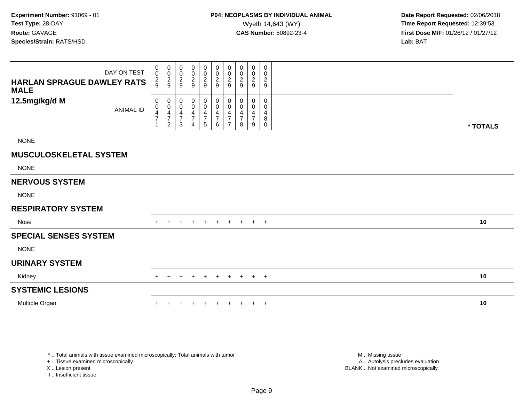| DAY ON TEST<br><b>HARLAN SPRAGUE DAWLEY RATS</b><br><b>MALE</b> | 0<br>$\pmb{0}$<br>$\frac{2}{9}$ | $\pmb{0}$<br>$\mathbf 0$<br>$\frac{2}{9}$                                              | 0<br>$\,0\,$<br>$\frac{2}{9}$                                           | $\begin{smallmatrix} 0\\0 \end{smallmatrix}$<br>$\frac{2}{9}$ | $\begin{smallmatrix}0\0\0\end{smallmatrix}$<br>$\frac{2}{9}$ | $\boldsymbol{0}$<br>$\pmb{0}$<br>$\sqrt{2}$<br>$\overline{9}$ | 0<br>$\mathbf 0$<br>2<br>9    | 0<br>0<br>$\overline{\mathbf{c}}$<br>9 | 0<br>$\pmb{0}$<br>$\frac{2}{9}$    | 0<br>$\mathbf 0$<br>$\frac{2}{9}$                   |          |
|-----------------------------------------------------------------|---------------------------------|----------------------------------------------------------------------------------------|-------------------------------------------------------------------------|---------------------------------------------------------------|--------------------------------------------------------------|---------------------------------------------------------------|-------------------------------|----------------------------------------|------------------------------------|-----------------------------------------------------|----------|
| 12.5mg/kg/d M<br><b>ANIMAL ID</b>                               | 0<br>$\pmb{0}$<br>4<br>7<br>1   | $\pmb{0}$<br>$\pmb{0}$<br>$\overline{4}$<br>$\overline{\mathcal{I}}$<br>$\overline{2}$ | $\pmb{0}$<br>$\,0\,$<br>$\overline{\mathcal{A}}$<br>$\overline{7}$<br>3 | $_{\rm 0}^{\rm 0}$<br>4<br>$\boldsymbol{7}$<br>4              | 0<br>$\pmb{0}$<br>$\frac{4}{7}$<br>$\overline{5}$            | $\pmb{0}$<br>$\pmb{0}$<br>4<br>$\overline{\mathcal{I}}$<br>6  | 0<br>0<br>4<br>$\overline{ }$ | 0<br>0<br>7<br>8                       | 0<br>0<br>4<br>$\overline{7}$<br>9 | $\mathbf 0$<br>$\mathbf 0$<br>4<br>8<br>$\mathbf 0$ | * TOTALS |
| <b>NONE</b>                                                     |                                 |                                                                                        |                                                                         |                                                               |                                                              |                                                               |                               |                                        |                                    |                                                     |          |
| <b>MUSCULOSKELETAL SYSTEM</b>                                   |                                 |                                                                                        |                                                                         |                                                               |                                                              |                                                               |                               |                                        |                                    |                                                     |          |
| <b>NONE</b>                                                     |                                 |                                                                                        |                                                                         |                                                               |                                                              |                                                               |                               |                                        |                                    |                                                     |          |
| <b>NERVOUS SYSTEM</b>                                           |                                 |                                                                                        |                                                                         |                                                               |                                                              |                                                               |                               |                                        |                                    |                                                     |          |
| <b>NONE</b>                                                     |                                 |                                                                                        |                                                                         |                                                               |                                                              |                                                               |                               |                                        |                                    |                                                     |          |
| <b>RESPIRATORY SYSTEM</b>                                       |                                 |                                                                                        |                                                                         |                                                               |                                                              |                                                               |                               |                                        |                                    |                                                     |          |
| Nose                                                            |                                 |                                                                                        | $\pm$                                                                   | $\pm$                                                         | $+$                                                          | $+$                                                           | $+$                           | $+$                                    | $+$                                | $+$                                                 | 10       |
| <b>SPECIAL SENSES SYSTEM</b>                                    |                                 |                                                                                        |                                                                         |                                                               |                                                              |                                                               |                               |                                        |                                    |                                                     |          |
| <b>NONE</b>                                                     |                                 |                                                                                        |                                                                         |                                                               |                                                              |                                                               |                               |                                        |                                    |                                                     |          |
| <b>URINARY SYSTEM</b>                                           |                                 |                                                                                        |                                                                         |                                                               |                                                              |                                                               |                               |                                        |                                    |                                                     |          |
| Kidney                                                          | $+$                             | $\ddot{}$                                                                              |                                                                         | $\pm$                                                         | $\ddot{}$                                                    | $+$                                                           | $+$                           | $+$                                    | $+$ $+$                            |                                                     | 10       |
| <b>SYSTEMIC LESIONS</b>                                         |                                 |                                                                                        |                                                                         |                                                               |                                                              |                                                               |                               |                                        |                                    |                                                     |          |
| Multiple Organ                                                  |                                 |                                                                                        |                                                                         |                                                               |                                                              |                                                               |                               |                                        | $+$                                | $+$                                                 | 10       |

\* .. Total animals with tissue examined microscopically; Total animals with tumor

+ .. Tissue examined microscopically

X .. Lesion present

I .. Insufficient tissue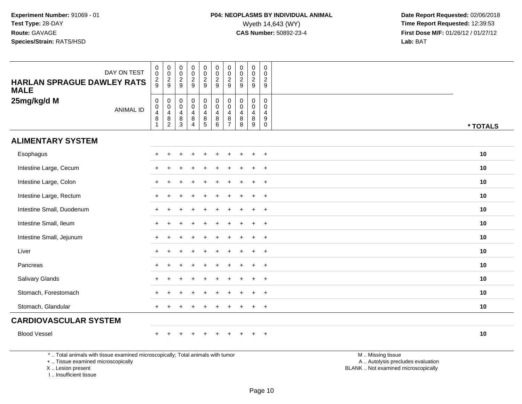| DAY ON TEST<br><b>HARLAN SPRAGUE DAWLEY RATS</b><br><b>MALE</b> | $\begin{smallmatrix} 0\\0 \end{smallmatrix}$<br>$\frac{2}{9}$ | $_{\rm 0}^{\rm 0}$<br>$\frac{2}{9}$                                | $\begin{smallmatrix}0\\0\end{smallmatrix}$<br>$\overline{2}$<br>9 | $\begin{smallmatrix}0\0\0\end{smallmatrix}$<br>$\frac{2}{9}$         | $\begin{smallmatrix}0\0\0\end{smallmatrix}$<br>$\frac{2}{9}$                   | $\pmb{0}$<br>$\overline{0}$<br>$\frac{2}{9}$                   | $\begin{smallmatrix} 0\\0 \end{smallmatrix}$<br>$\frac{2}{9}$                   | $\pmb{0}$<br>$\mathbf 0$<br>$\frac{2}{9}$                  | $\pmb{0}$<br>$\mathsf{O}\xspace$<br>$\frac{2}{9}$      | $\begin{smallmatrix} 0\\0 \end{smallmatrix}$<br>$\frac{2}{9}$   |          |
|-----------------------------------------------------------------|---------------------------------------------------------------|--------------------------------------------------------------------|-------------------------------------------------------------------|----------------------------------------------------------------------|--------------------------------------------------------------------------------|----------------------------------------------------------------|---------------------------------------------------------------------------------|------------------------------------------------------------|--------------------------------------------------------|-----------------------------------------------------------------|----------|
| 25mg/kg/d M<br><b>ANIMAL ID</b>                                 | $\begin{smallmatrix}0\0\0\4\end{smallmatrix}$<br>$\, 8$<br>1  | $\boldsymbol{0}$<br>$\mathbf 0$<br>$\overline{4}$<br>$\frac{8}{2}$ | $\pmb{0}$<br>$\pmb{0}$<br>$\overline{4}$<br>$\, 8$<br>3           | 0<br>$\boldsymbol{0}$<br>$\overline{4}$<br>$\bf 8$<br>$\overline{4}$ | $\begin{smallmatrix}0\0\0\end{smallmatrix}$<br>$\overline{4}$<br>$\frac{8}{5}$ | $_{\rm 0}^{\rm 0}$<br>$\overline{\mathbf{4}}$<br>$\frac{8}{6}$ | $\begin{smallmatrix} 0\\0 \end{smallmatrix}$<br>$\overline{4}$<br>$\frac{8}{7}$ | $\mathsf 0$<br>$\pmb{0}$<br>$\overline{4}$<br>$\bf 8$<br>8 | $\mathbf 0$<br>$\mathbf 0$<br>$\overline{4}$<br>$^8_9$ | $\pmb{0}$<br>$\pmb{0}$<br>$\overline{4}$<br>$\overline{9}$<br>0 | * TOTALS |
| <b>ALIMENTARY SYSTEM</b>                                        |                                                               |                                                                    |                                                                   |                                                                      |                                                                                |                                                                |                                                                                 |                                                            |                                                        |                                                                 |          |
| Esophagus                                                       |                                                               |                                                                    |                                                                   |                                                                      |                                                                                |                                                                |                                                                                 |                                                            | $\ddot{}$                                              | $\overline{+}$                                                  | 10       |
| Intestine Large, Cecum                                          |                                                               |                                                                    |                                                                   |                                                                      |                                                                                |                                                                |                                                                                 |                                                            | $\ddot{}$                                              | $^{+}$                                                          | 10       |
| Intestine Large, Colon                                          |                                                               |                                                                    |                                                                   |                                                                      |                                                                                |                                                                |                                                                                 |                                                            |                                                        | $\ddot{}$                                                       | 10       |
| Intestine Large, Rectum                                         |                                                               |                                                                    |                                                                   |                                                                      |                                                                                |                                                                |                                                                                 |                                                            | ÷                                                      | $\overline{+}$                                                  | 10       |
| Intestine Small, Duodenum                                       |                                                               |                                                                    |                                                                   |                                                                      |                                                                                |                                                                |                                                                                 |                                                            | $\ddot{}$                                              | $\overline{+}$                                                  | 10       |
| Intestine Small, Ileum                                          |                                                               |                                                                    |                                                                   |                                                                      |                                                                                |                                                                |                                                                                 |                                                            | ÷.                                                     | $\overline{+}$                                                  | 10       |
| Intestine Small, Jejunum                                        | $\ddot{}$                                                     | $\ddot{}$                                                          |                                                                   |                                                                      |                                                                                |                                                                |                                                                                 |                                                            | $\ddot{}$                                              | $^{+}$                                                          | 10       |
| Liver                                                           |                                                               |                                                                    |                                                                   |                                                                      |                                                                                |                                                                |                                                                                 |                                                            |                                                        | $\ddot{}$                                                       | 10       |
| Pancreas                                                        |                                                               |                                                                    |                                                                   |                                                                      |                                                                                |                                                                |                                                                                 |                                                            | $\ddot{}$                                              | $+$                                                             | 10       |
| Salivary Glands                                                 |                                                               |                                                                    |                                                                   |                                                                      |                                                                                |                                                                |                                                                                 |                                                            | $\ddot{}$                                              | $\overline{+}$                                                  | 10       |
| Stomach, Forestomach                                            |                                                               |                                                                    |                                                                   |                                                                      |                                                                                |                                                                |                                                                                 |                                                            | ÷                                                      | $\overline{+}$                                                  | 10       |
| Stomach, Glandular                                              | $+$                                                           |                                                                    |                                                                   |                                                                      |                                                                                |                                                                |                                                                                 |                                                            | $\ddot{}$                                              | $^{+}$                                                          | 10       |
| <b>CARDIOVASCULAR SYSTEM</b>                                    |                                                               |                                                                    |                                                                   |                                                                      |                                                                                |                                                                |                                                                                 |                                                            |                                                        |                                                                 |          |
| <b>Blood Vessel</b>                                             |                                                               |                                                                    |                                                                   |                                                                      |                                                                                |                                                                |                                                                                 |                                                            |                                                        | $\overline{+}$                                                  | 10       |

\* .. Total animals with tissue examined microscopically; Total animals with tumor

+ .. Tissue examined microscopically

X .. Lesion present

I .. Insufficient tissue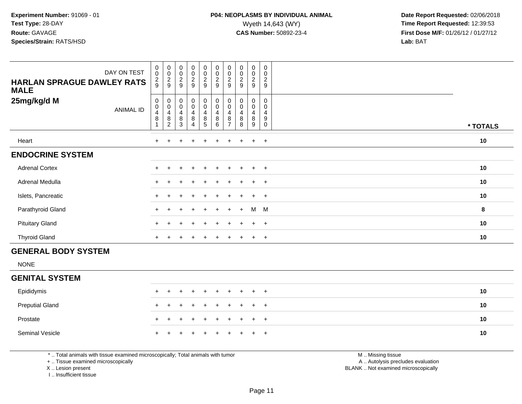| DAY ON TEST<br><b>HARLAN SPRAGUE DAWLEY RATS</b><br><b>MALE</b> | $\mathbf 0$<br>$\mathbf 0$<br>$\frac{2}{9}$ | 00029                                    | $_{\rm 0}^{\rm 0}$<br>$\frac{2}{9}$                                        | $\begin{smallmatrix} 0\\0 \end{smallmatrix}$<br>$\frac{2}{9}$                  | $\pmb{0}$<br>$\pmb{0}$<br>$\frac{2}{9}$   | $\begin{smallmatrix}0\0\0\end{smallmatrix}$<br>$\frac{2}{9}$ | $_{\rm 0}^{\rm 0}$<br>$\frac{2}{9}$ | $\begin{smallmatrix} 0\\0 \end{smallmatrix}$<br>$\frac{2}{9}$ | $_{\rm 0}^{\rm 0}$<br>$\frac{2}{9}$                   | 0<br>$\mathbf 0$<br>$\mathbf{2}$<br>9 |          |
|-----------------------------------------------------------------|---------------------------------------------|------------------------------------------|----------------------------------------------------------------------------|--------------------------------------------------------------------------------|-------------------------------------------|--------------------------------------------------------------|-------------------------------------|---------------------------------------------------------------|-------------------------------------------------------|---------------------------------------|----------|
| 25mg/kg/d M<br>ANIMAL ID                                        | $\mathbf 0$<br>0<br>4<br>8                  | 0<br>0<br>4<br>$\bf 8$<br>$\overline{c}$ | $\pmb{0}$<br>$\pmb{0}$<br>$\overline{\mathbf{r}}$<br>$\bf 8$<br>$\sqrt{3}$ | $\pmb{0}$<br>$\pmb{0}$<br>$\overline{\mathbf{4}}$<br>$\bf 8$<br>$\overline{4}$ | $\,0\,$<br>$\pmb{0}$<br>4<br>$\bf 8$<br>5 | $\pmb{0}$<br>$\pmb{0}$<br>$\overline{\mathbf{4}}$<br>8<br>6  | 0<br>0<br>4<br>8                    | $\pmb{0}$<br>$\pmb{0}$<br>$\overline{4}$<br>$\bf8$<br>8       | 0<br>$\mathsf 0$<br>$\overline{\mathbf{4}}$<br>8<br>9 | 0<br>0<br>$\overline{4}$<br>9<br>0    | * TOTALS |
| Heart                                                           | $+$                                         | $\pm$                                    | $\pm$                                                                      | $+$                                                                            | $+$                                       | $\ddot{}$                                                    | $+$                                 | $+$                                                           | $+$                                                   | $+$                                   | 10       |
| <b>ENDOCRINE SYSTEM</b>                                         |                                             |                                          |                                                                            |                                                                                |                                           |                                                              |                                     |                                                               |                                                       |                                       |          |
| <b>Adrenal Cortex</b>                                           |                                             |                                          |                                                                            | $\ddot{}$                                                                      | $+$                                       | $+$                                                          | $+$                                 |                                                               | $+$                                                   | $+$                                   | 10       |
| Adrenal Medulla                                                 | $+$                                         |                                          |                                                                            | $\pm$                                                                          | $\pm$                                     | $+$                                                          | $+$                                 |                                                               | $+$                                                   | $+$                                   | 10       |
| Islets, Pancreatic                                              |                                             |                                          |                                                                            |                                                                                |                                           |                                                              |                                     |                                                               | $\pm$                                                 | $^{+}$                                | $10$     |
| Parathyroid Gland                                               | $+$                                         | ÷.                                       | $\pm$                                                                      | $+$                                                                            | $+$                                       | $+$                                                          | $+$                                 | $+$                                                           | M                                                     | M                                     | 8        |
| <b>Pituitary Gland</b>                                          |                                             |                                          |                                                                            | $\pm$                                                                          | $\ddot{}$                                 | $+$                                                          | $+$                                 | $\pm$                                                         | $+$                                                   | $+$                                   | 10       |
| <b>Thyroid Gland</b>                                            | $+$                                         | $\pm$                                    | $\pm$                                                                      | $+$                                                                            | $\overline{+}$                            | $+$                                                          | $+$                                 | $+$                                                           | $+$                                                   | $+$                                   | 10       |
| CEMEDAL DANY CVCTEM                                             |                                             |                                          |                                                                            |                                                                                |                                           |                                                              |                                     |                                                               |                                                       |                                       |          |

#### **GENERAL BODY SYSTEM**

NONE

#### **GENITAL SYSTEM**Epididymis <sup>+</sup> <sup>+</sup> <sup>+</sup> <sup>+</sup> <sup>+</sup> <sup>+</sup> <sup>+</sup> <sup>+</sup> <sup>+</sup> <sup>+</sup> **<sup>10</sup>** Preputial Glandd  $+$  <sup>+</sup> <sup>+</sup> <sup>+</sup> <sup>+</sup> <sup>+</sup> <sup>+</sup> <sup>+</sup> <sup>+</sup> <sup>+</sup> **<sup>10</sup>** Prostate $e$  + <sup>+</sup> <sup>+</sup> <sup>+</sup> <sup>+</sup> <sup>+</sup> <sup>+</sup> <sup>+</sup> <sup>+</sup> <sup>+</sup> **<sup>10</sup>** Seminal Vesicle $e$  + <sup>+</sup> <sup>+</sup> <sup>+</sup> <sup>+</sup> <sup>+</sup> <sup>+</sup> <sup>+</sup> <sup>+</sup> <sup>+</sup> **<sup>10</sup>**

\* .. Total animals with tissue examined microscopically; Total animals with tumor

+ .. Tissue examined microscopically

X .. Lesion present

I .. Insufficient tissue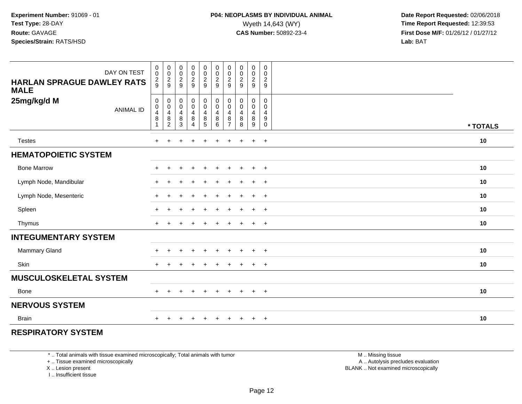| DAY ON TEST<br><b>HARLAN SPRAGUE DAWLEY RATS</b><br><b>MALE</b> | 0<br>$\mathbf 0$<br>$\frac{2}{9}$                                       | $_{\rm 0}^{\rm 0}$<br>$\frac{2}{9}$                                                           | 00029                                                                 | $\mathbf 0$<br>$\frac{0}{2}$                                                   | $\pmb{0}$<br>$\pmb{0}$<br>$\frac{2}{9}$              | $\pmb{0}$<br>$\frac{0}{2}$                           | 0<br>$\pmb{0}$<br>$\sqrt{2}$<br>$9\,$     | 00029                                                          | 0<br>$\mathbf 0$<br>$\overline{2}$<br>$\boldsymbol{9}$                    | $\pmb{0}$<br>$\mathbf 0$<br>$\overline{2}$<br>9                    |          |
|-----------------------------------------------------------------|-------------------------------------------------------------------------|-----------------------------------------------------------------------------------------------|-----------------------------------------------------------------------|--------------------------------------------------------------------------------|------------------------------------------------------|------------------------------------------------------|-------------------------------------------|----------------------------------------------------------------|---------------------------------------------------------------------------|--------------------------------------------------------------------|----------|
| 25mg/kg/d M<br><b>ANIMAL ID</b>                                 | $\mathbf 0$<br>$\pmb{0}$<br>$\overline{4}$<br>$\bf 8$<br>$\overline{1}$ | 0<br>$\mathbf 0$<br>$\overline{\mathbf{4}}$<br>$\begin{smallmatrix} 8 \\ 2 \end{smallmatrix}$ | $\mathbf 0$<br>$\pmb{0}$<br>$\overline{4}$<br>$\bf 8$<br>$\mathbf{3}$ | $\pmb{0}$<br>$\pmb{0}$<br>$\overline{\mathbf{4}}$<br>$\bf 8$<br>$\overline{4}$ | $\pmb{0}$<br>$\mathbf 0$<br>$\overline{4}$<br>$^8$ 5 | $\mathbf 0$<br>$\pmb{0}$<br>$\overline{4}$<br>8<br>6 | 0<br>0<br>$\overline{4}$<br>$\frac{8}{7}$ | $\pmb{0}$<br>$\pmb{0}$<br>$\overline{4}$<br>$\bf 8$<br>$\,8\,$ | 0<br>$\mathsf{O}\xspace$<br>$\overline{4}$<br>$\bf 8$<br>$\boldsymbol{9}$ | $\mathbf 0$<br>$\mathbf 0$<br>4<br>$\boldsymbol{9}$<br>$\mathbf 0$ | * TOTALS |
| <b>Testes</b>                                                   | $+$                                                                     | $\div$                                                                                        | +                                                                     | $\ddot{}$                                                                      | $\div$                                               | $\ddot{}$                                            | $+$                                       | $\ddot{}$                                                      | $+$                                                                       | $+$                                                                | 10       |
| <b>HEMATOPOIETIC SYSTEM</b>                                     |                                                                         |                                                                                               |                                                                       |                                                                                |                                                      |                                                      |                                           |                                                                |                                                                           |                                                                    |          |
| <b>Bone Marrow</b>                                              | $+$                                                                     | $+$                                                                                           | $\pm$                                                                 | $+$                                                                            | $\ddot{}$                                            | $+$                                                  | $+$                                       | $\overline{+}$                                                 | $+$                                                                       | $+$                                                                | 10       |
| Lymph Node, Mandibular                                          | $+$                                                                     | $\ddot{}$                                                                                     |                                                                       | $\ddot{}$                                                                      | $\div$                                               | $\ddot{}$                                            | $\pm$                                     | $\overline{+}$                                                 | $+$                                                                       | $+$                                                                | 10       |
| Lymph Node, Mesenteric                                          | $+$                                                                     | ÷                                                                                             |                                                                       | $\ddot{}$                                                                      | $\div$                                               | $\ddot{}$                                            | $\pm$                                     | $\pm$                                                          | $+$                                                                       | $+$                                                                | 10       |
| Spleen                                                          | $\pm$                                                                   | $\div$                                                                                        |                                                                       | $\ddot{}$                                                                      | $\ddot{}$                                            | $\ddot{}$                                            | $\pm$                                     | $\overline{ }$                                                 | $+$                                                                       | $+$                                                                | 10       |
| Thymus                                                          | $+$                                                                     | ÷                                                                                             |                                                                       | $\ddot{}$                                                                      | $\pm$                                                | $\ddot{}$                                            | $\pm$                                     | $\pm$                                                          | $+$                                                                       | $+$                                                                | 10       |
| <b>INTEGUMENTARY SYSTEM</b>                                     |                                                                         |                                                                                               |                                                                       |                                                                                |                                                      |                                                      |                                           |                                                                |                                                                           |                                                                    |          |
| <b>Mammary Gland</b>                                            | $\pm$                                                                   | ÷                                                                                             | $\div$                                                                | $\overline{+}$                                                                 | $\pm$                                                | $+$                                                  | $\pm$                                     | $\overline{+}$                                                 | $+$                                                                       | $+$                                                                | 10       |
| Skin                                                            | $+$                                                                     | $\div$                                                                                        |                                                                       |                                                                                |                                                      | $\div$                                               | $\div$                                    | $\overline{ }$                                                 | $\ddot{}$                                                                 | $+$                                                                | 10       |
| <b>MUSCULOSKELETAL SYSTEM</b>                                   |                                                                         |                                                                                               |                                                                       |                                                                                |                                                      |                                                      |                                           |                                                                |                                                                           |                                                                    |          |
| <b>Bone</b>                                                     | $+$                                                                     | $\ddot{}$                                                                                     | $\pm$                                                                 | $+$                                                                            | $\ddot{}$                                            | $\ddot{}$                                            | $\ddot{}$                                 | $+$                                                            | $+$                                                                       | $+$                                                                | 10       |
| <b>NERVOUS SYSTEM</b>                                           |                                                                         |                                                                                               |                                                                       |                                                                                |                                                      |                                                      |                                           |                                                                |                                                                           |                                                                    |          |
| <b>Brain</b>                                                    | $\ddot{}$                                                               |                                                                                               |                                                                       |                                                                                |                                                      |                                                      |                                           |                                                                | $\ddot{}$                                                                 | $+$                                                                | 10       |

#### **RESPIRATORY SYSTEM**

\* .. Total animals with tissue examined microscopically; Total animals with tumor

+ .. Tissue examined microscopically

X .. Lesion present

I .. Insufficient tissue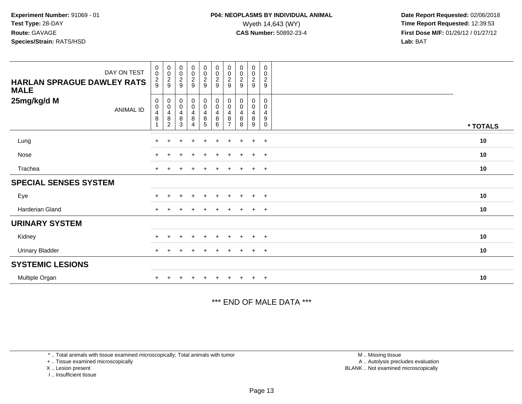| DAY ON TEST<br>HARLAN SPRAGUE DAWLEY RATS<br><b>MALE</b> | $\begin{smallmatrix} 0\\0 \end{smallmatrix}$<br>$\frac{2}{9}$     | 00029                                                                     | $\begin{smallmatrix}0\\0\end{smallmatrix}$<br>$\frac{2}{9}$ | $\begin{array}{c} 0 \\ 0 \\ 2 \\ 9 \end{array}$ | $\begin{array}{c} 0 \\ 0 \\ 2 \\ 9 \end{array}$ | $\begin{array}{c} 0 \\ 0 \\ 2 \\ 9 \end{array}$                    | $\begin{smallmatrix}0\\0\end{smallmatrix}$<br>$\frac{2}{9}$      | $\begin{matrix} 0 \\ 0 \\ 2 \end{matrix}$<br>9        | $\boldsymbol{0}$<br>$\pmb{0}$<br>$\frac{2}{9}$ | $\pmb{0}$<br>$\pmb{0}$<br>$\frac{2}{9}$                     |          |
|----------------------------------------------------------|-------------------------------------------------------------------|---------------------------------------------------------------------------|-------------------------------------------------------------|-------------------------------------------------|-------------------------------------------------|--------------------------------------------------------------------|------------------------------------------------------------------|-------------------------------------------------------|------------------------------------------------|-------------------------------------------------------------|----------|
| 25mg/kg/d M<br><b>ANIMAL ID</b>                          | 0<br>$\begin{array}{c} 0 \\ 4 \\ 8 \end{array}$<br>$\overline{A}$ | 0<br>$\pmb{0}$<br>$\begin{array}{c} 4 \\ 8 \end{array}$<br>$\overline{c}$ | $\begin{matrix} 0 \\ 0 \\ 4 \end{matrix}$<br>8<br>3         | $_{\rm 0}^{\rm 0}$<br>$\frac{4}{8}$<br>4        | $_{\rm 0}^{\rm 0}$<br>$\frac{4}{8}$             | $\begin{smallmatrix} 0\\0 \end{smallmatrix}$<br>$\frac{4}{8}$<br>6 | 0<br>$\pmb{0}$<br>$\overline{\mathbf{4}}$<br>8<br>$\overline{7}$ | 0<br>$\mathbf 0$<br>$\overline{\mathbf{4}}$<br>8<br>8 | 0<br>$\pmb{0}$<br>$\overline{4}$<br>8<br>9     | 0<br>0<br>$\overline{4}$<br>$\boldsymbol{9}$<br>$\mathbf 0$ | * TOTALS |
| Lung                                                     | $\pm$                                                             |                                                                           | ÷                                                           | $\ddot{}$                                       | $+$                                             | $\ddot{}$                                                          | $\pm$                                                            | $\pm$                                                 | $\ddot{}$                                      | $+$                                                         | 10       |
| Nose                                                     | $+$                                                               |                                                                           |                                                             |                                                 |                                                 |                                                                    |                                                                  |                                                       | $\pm$                                          | $+$                                                         | 10       |
| Trachea                                                  | $\pm$                                                             |                                                                           |                                                             |                                                 | $\pm$                                           | $\ddot{}$                                                          | $\pm$                                                            |                                                       | $\pm$                                          | $+$                                                         | 10       |
| <b>SPECIAL SENSES SYSTEM</b>                             |                                                                   |                                                                           |                                                             |                                                 |                                                 |                                                                    |                                                                  |                                                       |                                                |                                                             |          |
| Eye                                                      |                                                                   |                                                                           |                                                             |                                                 | ÷                                               |                                                                    |                                                                  | $\pm$                                                 | $\pm$                                          | $+$                                                         | 10       |
| <b>Harderian Gland</b>                                   | $+$                                                               |                                                                           |                                                             |                                                 |                                                 |                                                                    |                                                                  | $\pm$                                                 | $+$                                            | $+$                                                         | 10       |
| <b>URINARY SYSTEM</b>                                    |                                                                   |                                                                           |                                                             |                                                 |                                                 |                                                                    |                                                                  |                                                       |                                                |                                                             |          |
| Kidney                                                   |                                                                   |                                                                           |                                                             |                                                 |                                                 |                                                                    |                                                                  |                                                       |                                                | $\ddot{}$                                                   | 10       |
| <b>Urinary Bladder</b>                                   | $+$                                                               |                                                                           |                                                             |                                                 | $\pm$                                           | $\div$                                                             | $\pm$                                                            | $\pm$                                                 | $\ddot{}$                                      | $+$                                                         | 10       |
| <b>SYSTEMIC LESIONS</b>                                  |                                                                   |                                                                           |                                                             |                                                 |                                                 |                                                                    |                                                                  |                                                       |                                                |                                                             |          |
| Multiple Organ                                           |                                                                   |                                                                           |                                                             |                                                 |                                                 |                                                                    |                                                                  | $+$                                                   | $+$                                            | $+$                                                         | 10       |

#### \*\*\* END OF MALE DATA \*\*\*

\* .. Total animals with tissue examined microscopically; Total animals with tumor

+ .. Tissue examined microscopically

X .. Lesion present

I .. Insufficient tissue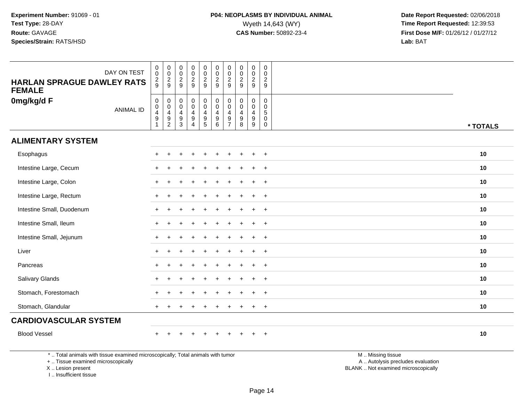| DAY ON TEST<br><b>HARLAN SPRAGUE DAWLEY RATS</b><br><b>FEMALE</b> | $\begin{smallmatrix} 0\\0 \end{smallmatrix}$<br>$\frac{2}{9}$     | $_{\rm 0}^{\rm 0}$<br>$\frac{2}{9}$                                              | $\begin{smallmatrix}0\\0\end{smallmatrix}$<br>$\frac{2}{9}$ | $_{\rm 0}^{\rm 0}$<br>$\frac{2}{9}$ | $\begin{smallmatrix} 0\\0 \end{smallmatrix}$<br>$\frac{2}{9}$                             | $_{\rm 0}^{\rm 0}$<br>$\frac{2}{9}$            | $\begin{smallmatrix} 0\\0 \end{smallmatrix}$<br>$\frac{2}{9}$                   | $\pmb{0}$<br>$\frac{0}{2}$                                                    | $\begin{smallmatrix} 0\\0 \end{smallmatrix}$<br>$\frac{2}{9}$         | $\begin{smallmatrix} 0\\0 \end{smallmatrix}$<br>$\frac{2}{9}$ |          |
|-------------------------------------------------------------------|-------------------------------------------------------------------|----------------------------------------------------------------------------------|-------------------------------------------------------------|-------------------------------------|-------------------------------------------------------------------------------------------|------------------------------------------------|---------------------------------------------------------------------------------|-------------------------------------------------------------------------------|-----------------------------------------------------------------------|---------------------------------------------------------------|----------|
| 0mg/kg/d F<br><b>ANIMAL ID</b>                                    | $\begin{array}{c} 0 \\ 0 \\ 4 \\ 9 \end{array}$<br>$\overline{1}$ | $\mathbf 0$<br>$\mathsf{O}\xspace$<br>$\begin{array}{c} 4 \\ 9 \\ 2 \end{array}$ | $\mathbf 0$<br>$\overline{0}$<br>$\overline{4}$<br>9<br>3   | 0<br>$\bar{0}$<br>$\frac{4}{9}$     | $\begin{smallmatrix}0\0\0\end{smallmatrix}$<br>$\begin{array}{c} 4 \\ 9 \\ 5 \end{array}$ | $_{\rm 0}^{\rm 0}$<br>$\overline{4}$<br>$^9$ 6 | $\begin{smallmatrix} 0\\0 \end{smallmatrix}$<br>$\overline{4}$<br>$\frac{9}{7}$ | $\mathbf 0$<br>$\ddot{\mathbf{0}}$<br>$\overline{4}$<br>$\boldsymbol{9}$<br>8 | $\mathbf 0$<br>$\mathbf 0$<br>$\overline{4}$<br>$\boldsymbol{9}$<br>9 | 0<br>$\mathbf 0$<br>$\overline{5}$<br>0<br>$\mathbf 0$        | * TOTALS |
| <b>ALIMENTARY SYSTEM</b>                                          |                                                                   |                                                                                  |                                                             |                                     |                                                                                           |                                                |                                                                                 |                                                                               |                                                                       |                                                               |          |
| Esophagus                                                         |                                                                   |                                                                                  |                                                             |                                     |                                                                                           |                                                |                                                                                 |                                                                               | $\ddot{}$                                                             | $\overline{+}$                                                | 10       |
| Intestine Large, Cecum                                            |                                                                   |                                                                                  |                                                             |                                     |                                                                                           |                                                |                                                                                 |                                                                               | $\ddot{}$                                                             | $+$                                                           | 10       |
| Intestine Large, Colon                                            | $\pm$                                                             | +                                                                                |                                                             |                                     |                                                                                           |                                                |                                                                                 |                                                                               | ÷                                                                     | $\ddot{}$                                                     | 10       |
| Intestine Large, Rectum                                           |                                                                   |                                                                                  |                                                             |                                     |                                                                                           |                                                |                                                                                 |                                                                               | $\div$                                                                | $+$                                                           | 10       |
| Intestine Small, Duodenum                                         |                                                                   |                                                                                  |                                                             |                                     |                                                                                           |                                                |                                                                                 |                                                                               | $\ddot{}$                                                             | $^{+}$                                                        | 10       |
| Intestine Small, Ileum                                            |                                                                   |                                                                                  |                                                             |                                     |                                                                                           |                                                |                                                                                 |                                                                               | $\ddot{}$                                                             | $\overline{+}$                                                | 10       |
| Intestine Small, Jejunum                                          |                                                                   |                                                                                  |                                                             |                                     |                                                                                           |                                                |                                                                                 |                                                                               | $\ddot{}$                                                             | $+$                                                           | 10       |
| Liver                                                             |                                                                   |                                                                                  |                                                             |                                     |                                                                                           |                                                |                                                                                 |                                                                               | $\pm$                                                                 | $\overline{+}$                                                | 10       |
| Pancreas                                                          |                                                                   |                                                                                  |                                                             |                                     |                                                                                           |                                                |                                                                                 |                                                                               | $\ddot{}$                                                             | $\overline{+}$                                                | 10       |
| Salivary Glands                                                   |                                                                   |                                                                                  |                                                             |                                     |                                                                                           |                                                |                                                                                 |                                                                               | $\ddot{}$                                                             | $+$                                                           | 10       |
| Stomach, Forestomach                                              |                                                                   |                                                                                  |                                                             |                                     |                                                                                           |                                                |                                                                                 |                                                                               | $\ddot{}$                                                             | $\overline{+}$                                                | 10       |
| Stomach, Glandular                                                | $+$                                                               |                                                                                  |                                                             |                                     |                                                                                           |                                                |                                                                                 |                                                                               | $\ddot{}$                                                             | $+$                                                           | 10       |
| <b>CARDIOVASCULAR SYSTEM</b>                                      |                                                                   |                                                                                  |                                                             |                                     |                                                                                           |                                                |                                                                                 |                                                                               |                                                                       |                                                               |          |
| <b>Blood Vessel</b>                                               |                                                                   |                                                                                  |                                                             |                                     | $\div$                                                                                    |                                                |                                                                                 |                                                                               | $\ddot{}$                                                             | $+$                                                           | 10       |
|                                                                   |                                                                   |                                                                                  |                                                             |                                     |                                                                                           |                                                |                                                                                 |                                                                               |                                                                       |                                                               |          |

\* .. Total animals with tissue examined microscopically; Total animals with tumor

+ .. Tissue examined microscopically

X .. Lesion present

I .. Insufficient tissue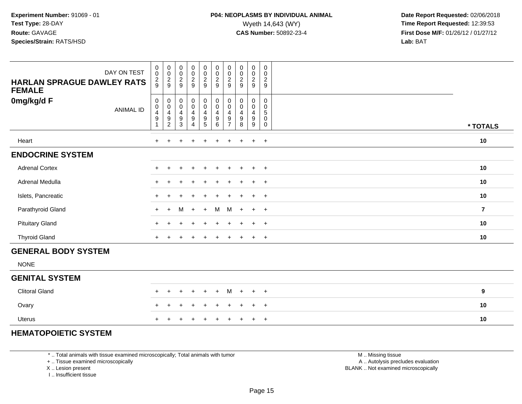| DAY ON TEST<br><b>HARLAN SPRAGUE DAWLEY RATS</b><br><b>FEMALE</b> | $\begin{smallmatrix}0\\0\end{smallmatrix}$<br>$\frac{2}{9}$ | $_{\rm 0}^{\rm 0}$<br>$\frac{2}{9}$               | $\begin{smallmatrix} 0\\0 \end{smallmatrix}$<br>$\frac{2}{9}$ | $\begin{array}{c} 0 \\ 0 \\ 2 \\ 9 \end{array}$ | $\begin{smallmatrix}0\\0\end{smallmatrix}$<br>$\frac{2}{9}$                     | $_{\rm 0}^{\rm 0}$<br>$\frac{2}{9}$                                    | $_{\rm 0}^{\rm 0}$<br>$\frac{2}{9}$               | $\begin{smallmatrix} 0\\0 \end{smallmatrix}$<br>$\frac{2}{9}$   | $\begin{smallmatrix} 0\\0 \end{smallmatrix}$<br>$\frac{2}{9}$              | $\mathbf 0$<br>$\mathbf 0$<br>$\boldsymbol{2}$<br>$\boldsymbol{9}$ |                         |
|-------------------------------------------------------------------|-------------------------------------------------------------|---------------------------------------------------|---------------------------------------------------------------|-------------------------------------------------|---------------------------------------------------------------------------------|------------------------------------------------------------------------|---------------------------------------------------|-----------------------------------------------------------------|----------------------------------------------------------------------------|--------------------------------------------------------------------|-------------------------|
| 0mg/kg/d F<br><b>ANIMAL ID</b>                                    | 0<br>0<br>4<br>9                                            | 0<br>$\pmb{0}$<br>$\overline{4}$<br>$\frac{9}{2}$ | $_{\rm 0}^{\rm 0}$<br>$\overline{4}$<br>$\frac{9}{3}$         | $_0^0$<br>4<br>9<br>4                           | $_{\rm 0}^{\rm 0}$<br>$\overline{\mathbf{4}}$<br>$\boldsymbol{9}$<br>$\sqrt{5}$ | $_{\rm 0}^{\rm 0}$<br>$\overline{\mathbf{4}}$<br>$\boldsymbol{9}$<br>6 | 0<br>$\pmb{0}$<br>$\overline{4}$<br>$\frac{9}{7}$ | $_{\rm 0}^{\rm 0}$<br>$\overline{\mathbf{4}}$<br>$_{8}^{\rm 9}$ | $\begin{smallmatrix} 0\\0 \end{smallmatrix}$<br>4<br>$\boldsymbol{9}$<br>9 | $\mathbf 0$<br>$\mathbf 0$<br>5<br>$\pmb{0}$<br>0                  | * TOTALS                |
| Heart                                                             | $\ddot{}$                                                   | $\pm$                                             |                                                               | $\ddot{}$                                       | $\pm$                                                                           | $\ddot{}$                                                              | $\pm$                                             | $\div$                                                          | $\pm$                                                                      | $+$                                                                | 10                      |
| <b>ENDOCRINE SYSTEM</b>                                           |                                                             |                                                   |                                                               |                                                 |                                                                                 |                                                                        |                                                   |                                                                 |                                                                            |                                                                    |                         |
| <b>Adrenal Cortex</b>                                             | $+$                                                         | $+$                                               | $\pm$                                                         | $+$                                             | $\ddot{}$                                                                       | $\ddot{}$                                                              | $\pm$                                             | $\pm$                                                           | $+$                                                                        | $+$                                                                | 10                      |
| Adrenal Medulla                                                   | $+$                                                         |                                                   |                                                               | $\pm$                                           |                                                                                 |                                                                        |                                                   |                                                                 | $+$                                                                        | $+$                                                                | 10                      |
| Islets, Pancreatic                                                | $\ddot{}$                                                   |                                                   |                                                               |                                                 |                                                                                 |                                                                        |                                                   |                                                                 | $+$                                                                        | $+$                                                                | 10                      |
| Parathyroid Gland                                                 | $+$                                                         | $+$                                               | M                                                             | $+$                                             | $+$                                                                             | M                                                                      |                                                   | $M +$                                                           | $+$                                                                        | $+$                                                                | $\overline{\mathbf{r}}$ |
| <b>Pituitary Gland</b>                                            | $\pm$                                                       |                                                   |                                                               |                                                 |                                                                                 |                                                                        |                                                   |                                                                 | $+$                                                                        | $+$                                                                | 10                      |
| <b>Thyroid Gland</b>                                              | $\ddot{}$                                                   | $\pm$                                             |                                                               | $\ddot{}$                                       | $\ddot{}$                                                                       | $\ddot{}$                                                              | $\pm$                                             | $\pm$                                                           | $\ddot{}$                                                                  | $+$                                                                | 10                      |
| <b>GENERAL BODY SYSTEM</b>                                        |                                                             |                                                   |                                                               |                                                 |                                                                                 |                                                                        |                                                   |                                                                 |                                                                            |                                                                    |                         |
| <b>NONE</b>                                                       |                                                             |                                                   |                                                               |                                                 |                                                                                 |                                                                        |                                                   |                                                                 |                                                                            |                                                                    |                         |

#### **GENITAL SYSTEM**

| Clitoral Gland |  |  |  |                     |  |    |
|----------------|--|--|--|---------------------|--|----|
| Ovary          |  |  |  | + + + + + + + + + + |  | 10 |
| Uterus         |  |  |  | + + + + + + + + + + |  | 10 |

### **HEMATOPOIETIC SYSTEM**

\* .. Total animals with tissue examined microscopically; Total animals with tumor

+ .. Tissue examined microscopically

X .. Lesion present

I .. Insufficient tissue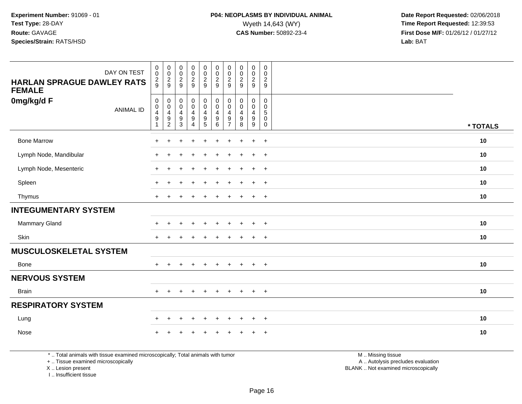| DAY ON TEST                                        | $\begin{smallmatrix} 0\\0 \end{smallmatrix}$                      |                                                 | $\pmb{0}$<br>$\pmb{0}$                               |                                                                   | $\begin{smallmatrix}0\0\end{smallmatrix}$                                        |                                                                   | $\begin{smallmatrix} 0\\0 \end{smallmatrix}$                   | $_{\rm 0}^{\rm 0}$                                        |                                                 | $\mathbf 0$<br>0                         |          |
|----------------------------------------------------|-------------------------------------------------------------------|-------------------------------------------------|------------------------------------------------------|-------------------------------------------------------------------|----------------------------------------------------------------------------------|-------------------------------------------------------------------|----------------------------------------------------------------|-----------------------------------------------------------|-------------------------------------------------|------------------------------------------|----------|
| <b>HARLAN SPRAGUE DAWLEY RATS</b><br><b>FEMALE</b> | $\frac{2}{9}$                                                     | $\begin{array}{c} 0 \\ 0 \\ 2 \\ 9 \end{array}$ | $\frac{2}{9}$                                        | $\begin{array}{c} 0 \\ 0 \\ 2 \\ 9 \end{array}$                   | $\frac{2}{9}$                                                                    |                                                                   | $\frac{2}{9}$                                                  | $\frac{2}{9}$                                             | $\begin{array}{c} 0 \\ 0 \\ 2 \\ 9 \end{array}$ | $\sqrt{2}$<br>$\overline{9}$             |          |
| 0mg/kg/d F<br><b>ANIMAL ID</b>                     | $\begin{smallmatrix}0\0\0\4\end{smallmatrix}$<br>$\boldsymbol{9}$ | $\pmb{0}$<br>$\frac{0}{4}$<br>$\boldsymbol{9}$  | 0<br>$\pmb{0}$<br>$\overline{4}$<br>$\boldsymbol{9}$ | $\begin{smallmatrix}0\0\0\4\end{smallmatrix}$<br>$\boldsymbol{9}$ | $\mathsf{O}\xspace$<br>$\mathsf{O}\xspace$<br>$\overline{4}$<br>$\boldsymbol{9}$ | $\pmb{0}$<br>$\overline{0}$<br>$\overline{4}$<br>$\boldsymbol{9}$ | $\pmb{0}$<br>$\mathbf 0$<br>$\overline{4}$<br>$\boldsymbol{9}$ | $\pmb{0}$<br>$\mathsf{O}\xspace$<br>4<br>$\boldsymbol{9}$ | $\pmb{0}$<br>$\pmb{0}$<br>4<br>$\boldsymbol{9}$ | 0<br>0<br>$5\phantom{.0}$<br>$\mathbf 0$ |          |
|                                                    | 1                                                                 | $\overline{2}$                                  | $\mathbf{3}$                                         | $\overline{4}$                                                    | 5                                                                                | 6                                                                 | $\overline{ }$                                                 | 8                                                         | 9                                               | 0                                        | * TOTALS |
| <b>Bone Marrow</b>                                 |                                                                   |                                                 |                                                      |                                                                   | ÷                                                                                |                                                                   |                                                                |                                                           | $\mathbf +$                                     | $\overline{ }$                           | 10       |
| Lymph Node, Mandibular                             | $+$                                                               | $\ddot{}$                                       |                                                      |                                                                   |                                                                                  |                                                                   |                                                                |                                                           |                                                 | $+$                                      | 10       |
| Lymph Node, Mesenteric                             |                                                                   | ÷                                               |                                                      |                                                                   |                                                                                  |                                                                   |                                                                |                                                           |                                                 | $+$                                      | 10       |
| Spleen                                             |                                                                   |                                                 |                                                      |                                                                   |                                                                                  |                                                                   |                                                                |                                                           | ÷                                               | $\overline{ }$                           | 10       |
| Thymus                                             |                                                                   |                                                 |                                                      |                                                                   | $\div$                                                                           |                                                                   |                                                                |                                                           | $\ddot{}$                                       | $+$                                      | 10       |
| <b>INTEGUMENTARY SYSTEM</b>                        |                                                                   |                                                 |                                                      |                                                                   |                                                                                  |                                                                   |                                                                |                                                           |                                                 |                                          |          |
| <b>Mammary Gland</b>                               |                                                                   |                                                 |                                                      |                                                                   |                                                                                  |                                                                   |                                                                |                                                           | $\div$                                          | $\overline{ }$                           | 10       |
| Skin                                               | $+$                                                               | $\ddot{}$                                       |                                                      |                                                                   |                                                                                  |                                                                   |                                                                |                                                           | $\ddot{}$                                       | $+$                                      | 10       |
| <b>MUSCULOSKELETAL SYSTEM</b>                      |                                                                   |                                                 |                                                      |                                                                   |                                                                                  |                                                                   |                                                                |                                                           |                                                 |                                          |          |
| Bone                                               |                                                                   |                                                 | $\pm$                                                | $\div$                                                            | $\ddot{}$                                                                        | $\pm$                                                             | $\pm$                                                          | $\pm$                                                     | $+$                                             | $+$                                      | 10       |
| <b>NERVOUS SYSTEM</b>                              |                                                                   |                                                 |                                                      |                                                                   |                                                                                  |                                                                   |                                                                |                                                           |                                                 |                                          |          |
| <b>Brain</b>                                       |                                                                   |                                                 |                                                      |                                                                   | $\ddot{}$                                                                        | $\ddot{}$                                                         | ÷                                                              |                                                           | $+$                                             | $+$                                      | 10       |
| <b>RESPIRATORY SYSTEM</b>                          |                                                                   |                                                 |                                                      |                                                                   |                                                                                  |                                                                   |                                                                |                                                           |                                                 |                                          |          |
| Lung                                               |                                                                   | $\pm$                                           |                                                      |                                                                   | ÷                                                                                |                                                                   |                                                                |                                                           |                                                 | $+$                                      | 10       |
| Nose                                               |                                                                   |                                                 |                                                      |                                                                   |                                                                                  |                                                                   |                                                                |                                                           |                                                 | $\div$                                   | 10       |

\* .. Total animals with tissue examined microscopically; Total animals with tumor

+ .. Tissue examined microscopically

X .. Lesion present

I .. Insufficient tissue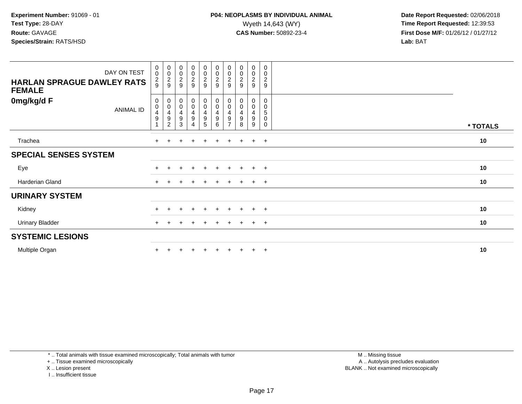| <b>HARLAN SPRAGUE DAWLEY RATS</b><br><b>FEMALE</b> | DAY ON TEST | $_{\rm 0}^{\rm 0}$<br>$\frac{2}{9}$    | $\begin{matrix} 0 \\ 0 \\ 2 \\ 9 \end{matrix}$                                                        | $\begin{smallmatrix} 0\\0 \end{smallmatrix}$<br>$\boldsymbol{2}$<br>9 | $\begin{array}{c} 0 \\ 0 \\ 2 \\ 9 \end{array}$ | $\begin{array}{c} 0 \\ 0 \\ 2 \\ 9 \end{array}$                  |                                                               | $_{\rm 0}^{\rm 0}$<br>$\frac{2}{9}$ | $\begin{smallmatrix} 0\\0 \end{smallmatrix}$<br>$\boldsymbol{2}$<br>9 | $\mathbf 0$<br>0<br>$\frac{2}{9}$ | $\pmb{0}$<br>0<br>$\overline{c}$<br>9 |          |
|----------------------------------------------------|-------------|----------------------------------------|-------------------------------------------------------------------------------------------------------|-----------------------------------------------------------------------|-------------------------------------------------|------------------------------------------------------------------|---------------------------------------------------------------|-------------------------------------|-----------------------------------------------------------------------|-----------------------------------|---------------------------------------|----------|
| 0mg/kg/d F                                         | ANIMAL ID   | 0<br>$\frac{0}{4}$<br>$\boldsymbol{9}$ | $\begin{smallmatrix}0\\0\end{smallmatrix}$<br>$\begin{array}{c} 4 \\ 9 \end{array}$<br>$\overline{2}$ | $\mathbf 0$<br>$\pmb{0}$<br>4<br>9<br>3                               | $_0^0$<br>$\frac{4}{9}$<br>4                    | $_{\rm 0}^{\rm 0}$<br>$\begin{array}{c} 4 \\ 9 \end{array}$<br>5 | $_{\rm 0}^{\rm 0}$<br>$\overline{4}$<br>$\boldsymbol{9}$<br>6 | 0<br>$\pmb{0}$<br>4<br>9            | 0<br>$\pmb{0}$<br>$\overline{4}$<br>9<br>8                            | 0<br>0<br>4<br>9<br>9             | 0<br>0<br>5<br>0<br>$\mathbf 0$       | * TOTALS |
| Trachea                                            |             |                                        |                                                                                                       |                                                                       | $\div$                                          | $+$                                                              | $\pm$                                                         | $\pm$                               | $\pm$                                                                 | $\ddot{}$                         | $+$                                   | 10       |
| <b>SPECIAL SENSES SYSTEM</b>                       |             |                                        |                                                                                                       |                                                                       |                                                 |                                                                  |                                                               |                                     |                                                                       |                                   |                                       |          |
| Eye                                                |             |                                        |                                                                                                       |                                                                       |                                                 |                                                                  |                                                               |                                     |                                                                       | $\pm$                             | $+$                                   | 10       |
| Harderian Gland                                    |             | $+$                                    |                                                                                                       |                                                                       |                                                 | $\pm$                                                            |                                                               | $\pm$                               | $\pm$                                                                 | $\ddot{}$                         | $+$                                   | 10       |
| <b>URINARY SYSTEM</b>                              |             |                                        |                                                                                                       |                                                                       |                                                 |                                                                  |                                                               |                                     |                                                                       |                                   |                                       |          |
| Kidney                                             |             |                                        |                                                                                                       |                                                                       | $\ddot{}$                                       | $+$                                                              |                                                               | $\pm$                               | $\pm$                                                                 | $\pm$                             | $+$                                   | 10       |
| <b>Urinary Bladder</b>                             |             |                                        |                                                                                                       |                                                                       |                                                 | ÷.                                                               |                                                               |                                     |                                                                       | $\ddot{}$                         | $+$                                   | 10       |
| <b>SYSTEMIC LESIONS</b>                            |             |                                        |                                                                                                       |                                                                       |                                                 |                                                                  |                                                               |                                     |                                                                       |                                   |                                       |          |
| Multiple Organ                                     |             |                                        |                                                                                                       |                                                                       |                                                 |                                                                  |                                                               |                                     | $\pm$                                                                 | $\ddot{}$                         | $+$                                   | 10       |

\* .. Total animals with tissue examined microscopically; Total animals with tumor

+ .. Tissue examined microscopically

X .. Lesion present

I .. Insufficient tissue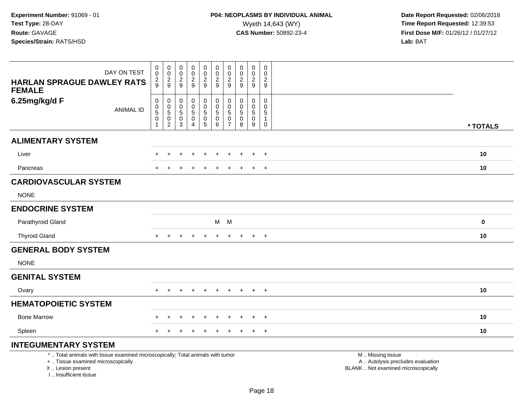| DAY ON TEST<br><b>HARLAN SPRAGUE DAWLEY RATS</b><br><b>FEMALE</b>                                                                                                   | $_{\rm 0}^{\rm 0}$<br>$\frac{2}{9}$                                     | $\begin{smallmatrix} 0\\0 \end{smallmatrix}$<br>$\frac{2}{9}$               | $\pmb{0}$<br>0<br>$\sqrt{2}$<br>9      | $\pmb{0}$<br>$\mathbf 0$<br>$\overline{2}$<br>9                             | 0<br>$\mathbf 0$<br>$\frac{2}{9}$                   | $\mathbf 0$<br>$\mathbf 0$<br>$\overline{c}$<br>9            | 0<br>0<br>$\overline{c}$<br>9                      | $\mathbf 0$<br>$\mathbf 0$<br>$\overline{c}$<br>9 | $\pmb{0}$<br>0<br>$\overline{c}$<br>9                | $\mathbf 0$<br>$\mathbf 0$<br>$\overline{c}$<br>9                       |                                                                                               |          |
|---------------------------------------------------------------------------------------------------------------------------------------------------------------------|-------------------------------------------------------------------------|-----------------------------------------------------------------------------|----------------------------------------|-----------------------------------------------------------------------------|-----------------------------------------------------|--------------------------------------------------------------|----------------------------------------------------|---------------------------------------------------|------------------------------------------------------|-------------------------------------------------------------------------|-----------------------------------------------------------------------------------------------|----------|
| 6.25mg/kg/d F<br><b>ANIMAL ID</b>                                                                                                                                   | $\pmb{0}$<br>$\pmb{0}$<br>$\overline{5}$<br>$\mathbf 0$<br>$\mathbf{1}$ | $\mathbf 0$<br>$\pmb{0}$<br>$\overline{5}$<br>$\mathsf 0$<br>$\overline{2}$ | 0<br>0<br>$\sqrt{5}$<br>$\pmb{0}$<br>3 | $\mathbf 0$<br>$\mathbf 0$<br>$\overline{5}$<br>$\pmb{0}$<br>$\overline{4}$ | 0<br>$\mathbf 0$<br>$\overline{5}$<br>$\frac{0}{5}$ | $\pmb{0}$<br>$\mathbf 0$<br>$\overline{5}$<br>$\pmb{0}$<br>6 | 0<br>$\pmb{0}$<br>5<br>$\pmb{0}$<br>$\overline{7}$ | $\mathbf 0$<br>0<br>$\sqrt{5}$<br>$\pmb{0}$<br>8  | $\mathbf 0$<br>0<br>$\sqrt{5}$<br>$\pmb{0}$<br>$9\,$ | $\mathbf 0$<br>$\mathbf 0$<br>$\sqrt{5}$<br>$\mathbf{1}$<br>$\mathbf 0$ |                                                                                               | * TOTALS |
| <b>ALIMENTARY SYSTEM</b>                                                                                                                                            |                                                                         |                                                                             |                                        |                                                                             |                                                     |                                                              |                                                    |                                                   |                                                      |                                                                         |                                                                                               |          |
| Liver                                                                                                                                                               |                                                                         |                                                                             |                                        |                                                                             |                                                     |                                                              |                                                    |                                                   | $\div$                                               | $\ddot{}$                                                               |                                                                                               | 10       |
| Pancreas                                                                                                                                                            |                                                                         |                                                                             |                                        |                                                                             |                                                     |                                                              |                                                    |                                                   | $\pm$                                                | $\ddot{}$                                                               |                                                                                               | 10       |
| <b>CARDIOVASCULAR SYSTEM</b>                                                                                                                                        |                                                                         |                                                                             |                                        |                                                                             |                                                     |                                                              |                                                    |                                                   |                                                      |                                                                         |                                                                                               |          |
| <b>NONE</b>                                                                                                                                                         |                                                                         |                                                                             |                                        |                                                                             |                                                     |                                                              |                                                    |                                                   |                                                      |                                                                         |                                                                                               |          |
| <b>ENDOCRINE SYSTEM</b>                                                                                                                                             |                                                                         |                                                                             |                                        |                                                                             |                                                     |                                                              |                                                    |                                                   |                                                      |                                                                         |                                                                                               |          |
| Parathyroid Gland                                                                                                                                                   |                                                                         |                                                                             |                                        |                                                                             |                                                     | M M                                                          |                                                    |                                                   |                                                      |                                                                         |                                                                                               | $\bf{0}$ |
| <b>Thyroid Gland</b>                                                                                                                                                | $+$                                                                     | $\pm$                                                                       |                                        |                                                                             | $\ddot{}$                                           | $\ddot{}$                                                    | $\ddot{}$                                          | $+$                                               | $+$                                                  | $+$                                                                     |                                                                                               | 10       |
| <b>GENERAL BODY SYSTEM</b>                                                                                                                                          |                                                                         |                                                                             |                                        |                                                                             |                                                     |                                                              |                                                    |                                                   |                                                      |                                                                         |                                                                                               |          |
| <b>NONE</b>                                                                                                                                                         |                                                                         |                                                                             |                                        |                                                                             |                                                     |                                                              |                                                    |                                                   |                                                      |                                                                         |                                                                                               |          |
| <b>GENITAL SYSTEM</b>                                                                                                                                               |                                                                         |                                                                             |                                        |                                                                             |                                                     |                                                              |                                                    |                                                   |                                                      |                                                                         |                                                                                               |          |
| Ovary                                                                                                                                                               |                                                                         |                                                                             |                                        |                                                                             |                                                     |                                                              |                                                    |                                                   | $\pm$                                                | $\overline{+}$                                                          |                                                                                               | 10       |
| <b>HEMATOPOIETIC SYSTEM</b>                                                                                                                                         |                                                                         |                                                                             |                                        |                                                                             |                                                     |                                                              |                                                    |                                                   |                                                      |                                                                         |                                                                                               |          |
| <b>Bone Marrow</b>                                                                                                                                                  |                                                                         | $\ddot{}$                                                                   | $\div$                                 | $\div$                                                                      | $+$                                                 | ÷                                                            | $\div$                                             | $\pm$                                             | $+$                                                  | $+$                                                                     |                                                                                               | 10       |
| Spleen                                                                                                                                                              |                                                                         |                                                                             |                                        |                                                                             |                                                     |                                                              |                                                    |                                                   | $\ddot{}$                                            | $+$                                                                     |                                                                                               | 10       |
| <b>INTEGUMENTARY SYSTEM</b>                                                                                                                                         |                                                                         |                                                                             |                                        |                                                                             |                                                     |                                                              |                                                    |                                                   |                                                      |                                                                         |                                                                                               |          |
| *  Total animals with tissue examined microscopically; Total animals with tumor<br>+  Tissue examined microscopically<br>X  Lesion present<br>I Insufficient tissue |                                                                         |                                                                             |                                        |                                                                             |                                                     |                                                              |                                                    |                                                   |                                                      |                                                                         | M  Missing tissue<br>A  Autolysis precludes evaluation<br>BLANK  Not examined microscopically |          |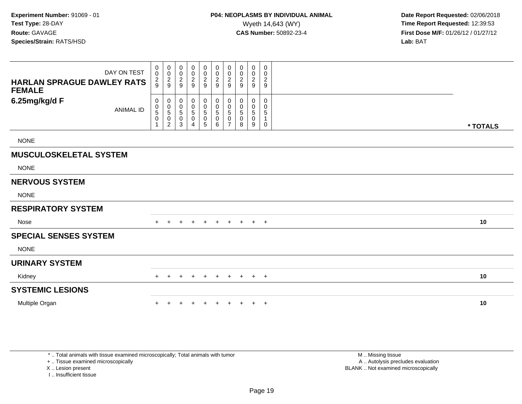| DAY ON TEST<br><b>HARLAN SPRAGUE DAWLEY RATS</b><br><b>FEMALE</b> | 0<br>$\pmb{0}$<br>$\frac{2}{9}$ | 0<br>$\mathbf 0$<br>$\frac{2}{9}$                    | 0<br>$\pmb{0}$<br>$\frac{2}{9}$               | $_{\rm 0}^{\rm 0}$<br>$\frac{2}{9}$                                   | $\boldsymbol{0}$<br>$\mathbf 0$<br>$\frac{2}{9}$                | 0<br>$\mathbf 0$<br>$\overline{2}$<br>9                         | 0<br>0<br>2<br>9                   | 0<br>0<br>2<br>9 | 0<br>$\pmb{0}$<br>$\overline{c}$<br>9   | 0<br>$\mathbf 0$<br>$\overline{\mathbf{c}}$<br>9 |          |  |
|-------------------------------------------------------------------|---------------------------------|------------------------------------------------------|-----------------------------------------------|-----------------------------------------------------------------------|-----------------------------------------------------------------|-----------------------------------------------------------------|------------------------------------|------------------|-----------------------------------------|--------------------------------------------------|----------|--|
| 6.25mg/kg/d F<br><b>ANIMAL ID</b>                                 | 0<br>0<br>5<br>0<br>1           | 0<br>$\pmb{0}$<br>$\,$ 5 $\,$<br>0<br>$\overline{c}$ | 0<br>$\pmb{0}$<br>$\,$ 5 $\,$<br>$\,0\,$<br>3 | $\mathbf 0$<br>$\pmb{0}$<br>$\sqrt{5}$<br>$\pmb{0}$<br>$\overline{A}$ | $\pmb{0}$<br>$\pmb{0}$<br>$\sqrt{5}$<br>$\pmb{0}$<br>$\sqrt{5}$ | $\boldsymbol{0}$<br>$\mathbf 0$<br>$\sqrt{5}$<br>$\pmb{0}$<br>6 | 0<br>0<br>5<br>0<br>$\overline{ }$ | 0<br>0<br>5<br>8 | 0<br>0<br>$\,$ 5 $\,$<br>$\pmb{0}$<br>9 | $\Omega$<br>0<br>$\sqrt{5}$<br>$\mathbf 0$       | * TOTALS |  |
| <b>NONE</b>                                                       |                                 |                                                      |                                               |                                                                       |                                                                 |                                                                 |                                    |                  |                                         |                                                  |          |  |
| <b>MUSCULOSKELETAL SYSTEM</b>                                     |                                 |                                                      |                                               |                                                                       |                                                                 |                                                                 |                                    |                  |                                         |                                                  |          |  |
| <b>NONE</b>                                                       |                                 |                                                      |                                               |                                                                       |                                                                 |                                                                 |                                    |                  |                                         |                                                  |          |  |
| <b>NERVOUS SYSTEM</b>                                             |                                 |                                                      |                                               |                                                                       |                                                                 |                                                                 |                                    |                  |                                         |                                                  |          |  |
| <b>NONE</b>                                                       |                                 |                                                      |                                               |                                                                       |                                                                 |                                                                 |                                    |                  |                                         |                                                  |          |  |
| <b>RESPIRATORY SYSTEM</b>                                         |                                 |                                                      |                                               |                                                                       |                                                                 |                                                                 |                                    |                  |                                         |                                                  |          |  |
| <b>Nose</b>                                                       |                                 |                                                      |                                               | $\pm$                                                                 | $\pm$                                                           |                                                                 | $\pm$                              | $\pm$            | $+$                                     | $+$                                              | 10       |  |
| <b>SPECIAL SENSES SYSTEM</b>                                      |                                 |                                                      |                                               |                                                                       |                                                                 |                                                                 |                                    |                  |                                         |                                                  |          |  |
| <b>NONE</b>                                                       |                                 |                                                      |                                               |                                                                       |                                                                 |                                                                 |                                    |                  |                                         |                                                  |          |  |
| <b>URINARY SYSTEM</b>                                             |                                 |                                                      |                                               |                                                                       |                                                                 |                                                                 |                                    |                  |                                         |                                                  |          |  |
| Kidney                                                            | $+$                             |                                                      |                                               |                                                                       | $\pm$                                                           | $\ddot{}$                                                       | $+$                                | $+$              | $+$ $+$                                 |                                                  | 10       |  |
| <b>SYSTEMIC LESIONS</b>                                           |                                 |                                                      |                                               |                                                                       |                                                                 |                                                                 |                                    |                  |                                         |                                                  |          |  |
| Multiple Organ                                                    |                                 |                                                      |                                               |                                                                       |                                                                 |                                                                 |                                    |                  | $\ddot{}$                               | $+$                                              | 10       |  |

\* .. Total animals with tissue examined microscopically; Total animals with tumor

+ .. Tissue examined microscopically

X .. Lesion present

I .. Insufficient tissue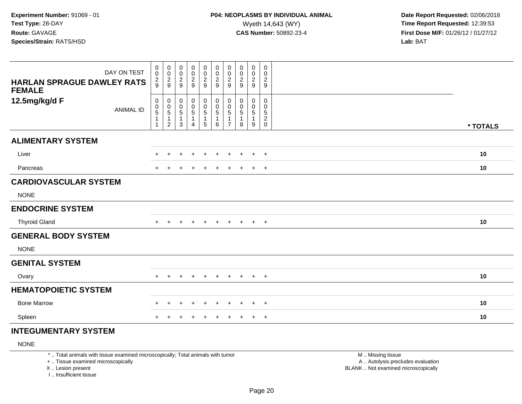| DAY ON TEST                                        | $\pmb{0}$<br>0                                                  | $\pmb{0}$                                           | $\pmb{0}$                                 | $\begin{array}{c} 0 \\ 0 \\ 2 \\ 9 \end{array}$        | $\begin{smallmatrix}0\\0\end{smallmatrix}$ | $\begin{array}{c} 0 \\ 0 \\ 2 \\ 9 \end{array}$                      | $\pmb{0}$<br>$\mathsf 0$                                                | 0<br>0                                     | $\boldsymbol{0}$<br>$\boldsymbol{0}$                   | 0<br>0                                       |          |
|----------------------------------------------------|-----------------------------------------------------------------|-----------------------------------------------------|-------------------------------------------|--------------------------------------------------------|--------------------------------------------|----------------------------------------------------------------------|-------------------------------------------------------------------------|--------------------------------------------|--------------------------------------------------------|----------------------------------------------|----------|
| <b>HARLAN SPRAGUE DAWLEY RATS</b><br><b>FEMALE</b> | $\frac{2}{9}$                                                   | $\frac{0}{2}$                                       | $\frac{0}{2}$                             |                                                        | $\frac{2}{9}$                              |                                                                      | $\overline{2}$<br>9                                                     | $\sqrt{2}$<br>9                            | $\sqrt{2}$<br>9                                        | $\overline{2}$<br>9                          |          |
| 12.5mg/kg/d F<br><b>ANIMAL ID</b>                  | 0<br>$\begin{array}{c} 0 \\ 5 \\ 1 \end{array}$<br>$\mathbf{1}$ | 0<br>$\frac{0}{5}$<br>$\mathbf 1$<br>$\overline{2}$ | 0<br>$\frac{0}{5}$<br>$\overline{1}$<br>3 | $\boldsymbol{0}$<br>$\frac{0}{5}$<br>$\mathbf{1}$<br>4 | 0<br>$\frac{0}{5}$<br>1<br>5               | $\begin{matrix} 0 \\ 0 \\ 5 \end{matrix}$<br>$\mathbf{1}$<br>$\,6\,$ | $\pmb{0}$<br>$\pmb{0}$<br>$\,$ 5 $\,$<br>$\mathbf{1}$<br>$\overline{7}$ | 0<br>0<br>$\,$ 5 $\,$<br>$\mathbf{1}$<br>8 | $\mathbf 0$<br>$\mathbf 0$<br>$\overline{5}$<br>1<br>9 | 0<br>0<br>5<br>$\overline{c}$<br>$\mathbf 0$ | * TOTALS |
| <b>ALIMENTARY SYSTEM</b>                           |                                                                 |                                                     |                                           |                                                        |                                            |                                                                      |                                                                         |                                            |                                                        |                                              |          |
| Liver                                              | $+$                                                             | $\pm$                                               |                                           |                                                        | $\ddot{}$                                  | $\pm$                                                                | $\ddot{}$                                                               | $\ddot{}$                                  | $+$                                                    | $+$                                          | 10       |
| Pancreas                                           | $+$                                                             |                                                     |                                           |                                                        | $\ddot{}$                                  |                                                                      | $\ddot{}$                                                               | $\pm$                                      | $\ddot{}$                                              | $+$                                          | 10       |
| <b>CARDIOVASCULAR SYSTEM</b>                       |                                                                 |                                                     |                                           |                                                        |                                            |                                                                      |                                                                         |                                            |                                                        |                                              |          |
| <b>NONE</b>                                        |                                                                 |                                                     |                                           |                                                        |                                            |                                                                      |                                                                         |                                            |                                                        |                                              |          |
| <b>ENDOCRINE SYSTEM</b>                            |                                                                 |                                                     |                                           |                                                        |                                            |                                                                      |                                                                         |                                            |                                                        |                                              |          |
| <b>Thyroid Gland</b>                               | $+$                                                             | $\ddot{}$                                           | $\ddot{}$                                 | $\ddot{}$                                              | $+$                                        | $+$                                                                  | $+$                                                                     | $+$                                        | $+$ $+$                                                |                                              | 10       |
| <b>GENERAL BODY SYSTEM</b>                         |                                                                 |                                                     |                                           |                                                        |                                            |                                                                      |                                                                         |                                            |                                                        |                                              |          |
| <b>NONE</b>                                        |                                                                 |                                                     |                                           |                                                        |                                            |                                                                      |                                                                         |                                            |                                                        |                                              |          |
| <b>GENITAL SYSTEM</b>                              |                                                                 |                                                     |                                           |                                                        |                                            |                                                                      |                                                                         |                                            |                                                        |                                              |          |
| Ovary                                              | $+$                                                             |                                                     |                                           |                                                        |                                            |                                                                      | $\pm$                                                                   | $\pm$                                      | $+$                                                    | $+$                                          | 10       |
| <b>HEMATOPOIETIC SYSTEM</b>                        |                                                                 |                                                     |                                           |                                                        |                                            |                                                                      |                                                                         |                                            |                                                        |                                              |          |
| <b>Bone Marrow</b>                                 |                                                                 |                                                     |                                           |                                                        | $\div$                                     |                                                                      | $\ddot{}$                                                               | $\pm$                                      | $\ddot{}$                                              | $+$                                          | 10       |
| Spleen                                             |                                                                 |                                                     |                                           |                                                        | $\div$                                     |                                                                      | $\ddot{}$                                                               | $\pm$                                      | $\ddot{}$                                              | $+$                                          | 10       |

## **INTEGUMENTARY SYSTEM**

NONE

\* .. Total animals with tissue examined microscopically; Total animals with tumor

+ .. Tissue examined microscopically

X .. Lesion present

I .. Insufficient tissue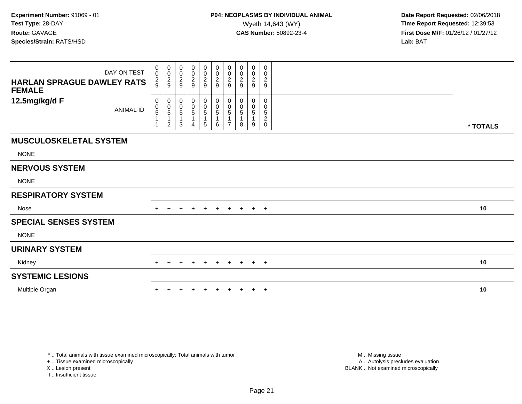| <b>HARLAN SPRAGUE DAWLEY RATS</b><br><b>FEMALE</b> | DAY ON TEST      | $\boldsymbol{0}$<br>$\pmb{0}$<br>$\frac{2}{9}$                             | $_{\rm 0}^{\rm 0}$<br>$\frac{2}{9}$             | $_{\rm 0}^{\rm 0}$<br>$\frac{2}{9}$                                         | $\begin{smallmatrix} 0\\0 \end{smallmatrix}$<br>$\sqrt{2}$<br>9 | $\begin{smallmatrix}0\0\0\end{smallmatrix}$<br>$\frac{2}{9}$ | $\begin{smallmatrix}0\\0\end{smallmatrix}$<br>$\frac{2}{9}$       | $\pmb{0}$<br>$\pmb{0}$<br>$\overline{c}$<br>9   | 0<br>0<br>$\boldsymbol{2}$<br>9 | $\pmb{0}$<br>$\pmb{0}$<br>$\sqrt{2}$<br>9 | 0<br>0<br>$\sqrt{2}$<br>$9\,$          |          |  |
|----------------------------------------------------|------------------|----------------------------------------------------------------------------|-------------------------------------------------|-----------------------------------------------------------------------------|-----------------------------------------------------------------|--------------------------------------------------------------|-------------------------------------------------------------------|-------------------------------------------------|---------------------------------|-------------------------------------------|----------------------------------------|----------|--|
| 12.5mg/kg/d F                                      | <b>ANIMAL ID</b> | 0<br>$\begin{array}{c} 0 \\ 5 \end{array}$<br>$\mathbf{1}$<br>$\mathbf{1}$ | 0<br>$\begin{array}{c} 0 \\ 5 \end{array}$<br>2 | $\mathbf 0$<br>$\begin{array}{c} 0 \\ 5 \end{array}$<br>$\overline{1}$<br>3 | 0<br>$\begin{array}{c} 0 \\ 5 \end{array}$<br>$\mathbf{1}$<br>4 | $\begin{matrix} 0 \\ 0 \\ 5 \end{matrix}$<br>5               | 0<br>$\begin{array}{c} 0 \\ 5 \end{array}$<br>$\overline{1}$<br>6 | 0<br>$\begin{array}{c} 0 \\ 5 \end{array}$<br>7 | 0<br>0<br>5<br>8                | 0<br>0<br>$\sqrt{5}$<br>9                 | 0<br>0<br>5<br>$\sqrt{2}$<br>$\pmb{0}$ | * TOTALS |  |
| <b>MUSCULOSKELETAL SYSTEM</b>                      |                  |                                                                            |                                                 |                                                                             |                                                                 |                                                              |                                                                   |                                                 |                                 |                                           |                                        |          |  |
| <b>NONE</b>                                        |                  |                                                                            |                                                 |                                                                             |                                                                 |                                                              |                                                                   |                                                 |                                 |                                           |                                        |          |  |
| <b>NERVOUS SYSTEM</b>                              |                  |                                                                            |                                                 |                                                                             |                                                                 |                                                              |                                                                   |                                                 |                                 |                                           |                                        |          |  |
| <b>NONE</b>                                        |                  |                                                                            |                                                 |                                                                             |                                                                 |                                                              |                                                                   |                                                 |                                 |                                           |                                        |          |  |
| <b>RESPIRATORY SYSTEM</b>                          |                  |                                                                            |                                                 |                                                                             |                                                                 |                                                              |                                                                   |                                                 |                                 |                                           |                                        |          |  |
| Nose                                               |                  |                                                                            |                                                 |                                                                             |                                                                 | $\pm$                                                        | $+$                                                               | $+$                                             | $+$                             | $+$ $+$                                   |                                        | 10       |  |
| <b>SPECIAL SENSES SYSTEM</b>                       |                  |                                                                            |                                                 |                                                                             |                                                                 |                                                              |                                                                   |                                                 |                                 |                                           |                                        |          |  |
| <b>NONE</b>                                        |                  |                                                                            |                                                 |                                                                             |                                                                 |                                                              |                                                                   |                                                 |                                 |                                           |                                        |          |  |
| <b>URINARY SYSTEM</b>                              |                  |                                                                            |                                                 |                                                                             |                                                                 |                                                              |                                                                   |                                                 |                                 |                                           |                                        |          |  |
| Kidney                                             |                  | $+$                                                                        | $\pm$                                           | $\pm$                                                                       | $\pm$                                                           | $+$                                                          | $+$                                                               | $+$                                             | $+$                             | $+$ $+$                                   |                                        | 10       |  |
| <b>SYSTEMIC LESIONS</b>                            |                  |                                                                            |                                                 |                                                                             |                                                                 |                                                              |                                                                   |                                                 |                                 |                                           |                                        |          |  |
| Multiple Organ                                     |                  |                                                                            |                                                 |                                                                             |                                                                 |                                                              |                                                                   |                                                 |                                 | $+$                                       | $+$                                    | 10       |  |

\* .. Total animals with tissue examined microscopically; Total animals with tumor

+ .. Tissue examined microscopically

X .. Lesion present

I .. Insufficient tissue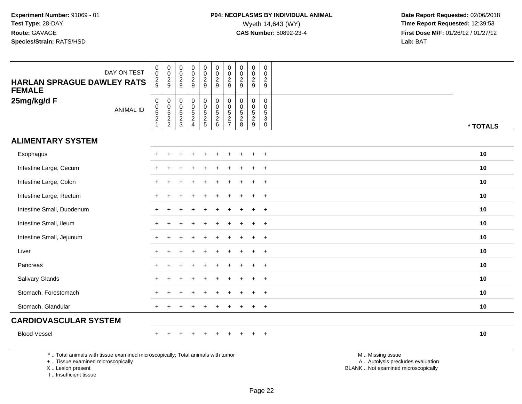| DAY ON TEST<br><b>HARLAN SPRAGUE DAWLEY RATS</b><br><b>FEMALE</b> | $\begin{smallmatrix} 0\\0 \end{smallmatrix}$<br>$\frac{2}{9}$    | $_{\rm 0}^{\rm 0}$<br>$\frac{2}{9}$           | $\begin{smallmatrix}0\\0\end{smallmatrix}$<br>$\frac{2}{9}$           | $_{\rm 0}^{\rm 0}$<br>$\frac{2}{9}$ | $\begin{smallmatrix} 0\\0 \end{smallmatrix}$<br>$\frac{2}{9}$ | $_{\rm 0}^{\rm 0}$<br>$\frac{2}{9}$                                                    | $\begin{smallmatrix} 0\\0 \end{smallmatrix}$<br>$\frac{2}{9}$                   | $\pmb{0}$<br>$\frac{0}{2}$                                     | $\begin{smallmatrix}0\\0\end{smallmatrix}$<br>$\frac{2}{9}$ | $\begin{smallmatrix} 0\\0 \end{smallmatrix}$<br>$\frac{2}{9}$                          |          |
|-------------------------------------------------------------------|------------------------------------------------------------------|-----------------------------------------------|-----------------------------------------------------------------------|-------------------------------------|---------------------------------------------------------------|----------------------------------------------------------------------------------------|---------------------------------------------------------------------------------|----------------------------------------------------------------|-------------------------------------------------------------|----------------------------------------------------------------------------------------|----------|
| 25mg/kg/d F<br><b>ANIMAL ID</b>                                   | $\begin{matrix} 0 \\ 0 \\ 5 \\ 2 \end{matrix}$<br>$\overline{1}$ | $\mathbf 0$<br>$\frac{0}{5}$<br>$\frac{2}{2}$ | $\mathbf 0$<br>$\ddot{\mathbf{0}}$<br>$\overline{5}$<br>$\frac{2}{3}$ | 0<br>$\frac{0}{5}$<br>2<br>4        | 000525                                                        | $\begin{smallmatrix}0\0\0\5\end{smallmatrix}$<br>$\begin{array}{c} 2 \\ 6 \end{array}$ | $\begin{smallmatrix} 0\\0 \end{smallmatrix}$<br>$\overline{5}$<br>$\frac{2}{7}$ | $\mathbf 0$<br>$\begin{array}{c} 0 \\ 5 \\ 2 \\ 8 \end{array}$ | 0<br>$\begin{matrix}0\\5\end{matrix}$<br>$\frac{2}{9}$      | 0<br>$\mathsf{O}\xspace$<br>$\overline{5}$<br>$\ensuremath{\mathsf{3}}$<br>$\mathbf 0$ | * TOTALS |
| <b>ALIMENTARY SYSTEM</b>                                          |                                                                  |                                               |                                                                       |                                     |                                                               |                                                                                        |                                                                                 |                                                                |                                                             |                                                                                        |          |
| Esophagus                                                         |                                                                  |                                               |                                                                       |                                     |                                                               |                                                                                        |                                                                                 |                                                                | $\ddot{}$                                                   | $\ddot{}$                                                                              | 10       |
| Intestine Large, Cecum                                            |                                                                  |                                               |                                                                       |                                     |                                                               |                                                                                        |                                                                                 |                                                                | $\ddot{}$                                                   | $+$                                                                                    | 10       |
| Intestine Large, Colon                                            | ÷                                                                | +                                             |                                                                       |                                     |                                                               |                                                                                        |                                                                                 |                                                                | ÷                                                           | $\ddot{}$                                                                              | 10       |
| Intestine Large, Rectum                                           |                                                                  |                                               |                                                                       |                                     |                                                               |                                                                                        |                                                                                 |                                                                | ÷                                                           | $+$                                                                                    | 10       |
| Intestine Small, Duodenum                                         |                                                                  |                                               |                                                                       |                                     |                                                               |                                                                                        |                                                                                 |                                                                | $\ddot{}$                                                   | $^{+}$                                                                                 | 10       |
| Intestine Small, Ileum                                            |                                                                  |                                               |                                                                       |                                     |                                                               |                                                                                        |                                                                                 |                                                                | $\ddot{}$                                                   | $\overline{+}$                                                                         | 10       |
| Intestine Small, Jejunum                                          |                                                                  |                                               |                                                                       |                                     |                                                               |                                                                                        |                                                                                 |                                                                | $\ddot{}$                                                   | $+$                                                                                    | 10       |
| Liver                                                             |                                                                  |                                               |                                                                       |                                     |                                                               |                                                                                        |                                                                                 |                                                                | $\ddot{}$                                                   | $\overline{+}$                                                                         | 10       |
| Pancreas                                                          |                                                                  |                                               |                                                                       |                                     |                                                               |                                                                                        |                                                                                 |                                                                | $\ddot{}$                                                   | $\ddot{}$                                                                              | 10       |
| Salivary Glands                                                   |                                                                  |                                               |                                                                       |                                     |                                                               |                                                                                        |                                                                                 |                                                                | $\ddot{}$                                                   | $+$                                                                                    | 10       |
| Stomach, Forestomach                                              |                                                                  |                                               |                                                                       |                                     |                                                               |                                                                                        |                                                                                 |                                                                | $\ddot{}$                                                   | $\overline{+}$                                                                         | 10       |
| Stomach, Glandular                                                | $+$                                                              |                                               |                                                                       |                                     |                                                               |                                                                                        |                                                                                 |                                                                | $\ddot{}$                                                   | $+$                                                                                    | 10       |
| <b>CARDIOVASCULAR SYSTEM</b>                                      |                                                                  |                                               |                                                                       |                                     |                                                               |                                                                                        |                                                                                 |                                                                |                                                             |                                                                                        |          |
| <b>Blood Vessel</b>                                               |                                                                  |                                               |                                                                       |                                     | $\div$                                                        |                                                                                        |                                                                                 |                                                                | $\ddot{}$                                                   | $+$                                                                                    | 10       |
|                                                                   |                                                                  |                                               |                                                                       |                                     |                                                               |                                                                                        |                                                                                 |                                                                |                                                             |                                                                                        |          |

\* .. Total animals with tissue examined microscopically; Total animals with tumor

+ .. Tissue examined microscopically

X .. Lesion present

I .. Insufficient tissue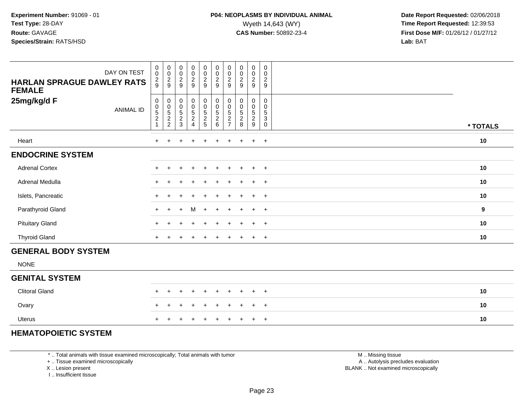| <b>HARLAN SPRAGUE DAWLEY RATS</b><br><b>FEMALE</b> | DAY ON TEST      | 0<br>$\mathsf 0$<br>$\frac{2}{9}$       | 00029                                 | 00029                                                          | $\begin{array}{c} 0 \\ 0 \\ 2 \\ 9 \end{array}$ | $_{0}^{0}$<br>$\frac{2}{9}$                                | $\begin{smallmatrix}0\0\0\end{smallmatrix}$<br>$\frac{2}{9}$      | 0<br>$\ddot{\mathbf{0}}$<br>$\frac{2}{9}$      | $\begin{array}{c} 0 \\ 0 \\ 2 \\ 9 \end{array}$              | $\begin{array}{c} 0 \\ 0 \\ 2 \\ 9 \end{array}$                                 | 0<br>$\mathbf 0$<br>$\overline{c}$<br>9                 |          |
|----------------------------------------------------|------------------|-----------------------------------------|---------------------------------------|----------------------------------------------------------------|-------------------------------------------------|------------------------------------------------------------|-------------------------------------------------------------------|------------------------------------------------|--------------------------------------------------------------|---------------------------------------------------------------------------------|---------------------------------------------------------|----------|
| 25mg/kg/d F                                        | <b>ANIMAL ID</b> | 0<br>0<br>$\,$ 5 $\,$<br>$\overline{c}$ | $\pmb{0}$<br>$0$<br>$5$<br>$2$<br>$2$ | $\begin{smallmatrix}0\0\0\5\end{smallmatrix}$<br>$\frac{2}{3}$ | 0<br>0<br>5<br>2<br>4                           | $\begin{matrix} 0 \\ 0 \\ 5 \end{matrix}$<br>$\frac{2}{5}$ | 0<br>$\begin{smallmatrix}0\0\5\end{smallmatrix}$<br>$\frac{2}{6}$ | 0<br>$\pmb{0}$<br>$\,$ 5 $\,$<br>$\frac{2}{7}$ | $\begin{matrix} 0 \\ 0 \\ 5 \end{matrix}$<br>$\sqrt{2}$<br>8 | $\begin{smallmatrix}0\0\0\5\end{smallmatrix}$<br>$\sqrt{2}$<br>$\boldsymbol{9}$ | 0<br>$\mathbf 0$<br>5<br>$\ensuremath{\mathsf{3}}$<br>0 | * TOTALS |
| Heart                                              |                  | $+$                                     | $+$                                   | $\ddot{}$                                                      | $+$                                             | $+$                                                        | $\ddot{}$                                                         | $+$                                            | $\ddot{}$                                                    | $+$                                                                             | $+$                                                     | 10       |
| <b>ENDOCRINE SYSTEM</b>                            |                  |                                         |                                       |                                                                |                                                 |                                                            |                                                                   |                                                |                                                              |                                                                                 |                                                         |          |
| <b>Adrenal Cortex</b>                              |                  |                                         |                                       |                                                                | $\ddot{}$                                       | $\pm$                                                      | $\pm$                                                             | $+$                                            | $\pm$                                                        | $+$                                                                             | $+$                                                     | 10       |
| Adrenal Medulla                                    |                  | $\ddot{}$                               |                                       |                                                                |                                                 |                                                            |                                                                   |                                                |                                                              | $\pm$                                                                           | $+$                                                     | 10       |
| Islets, Pancreatic                                 |                  | $\ddot{}$                               |                                       |                                                                |                                                 |                                                            |                                                                   | $+$                                            | $\div$                                                       | $\ddot{}$                                                                       | $+$                                                     | 10       |
| Parathyroid Gland                                  |                  | $+$                                     | $+$                                   | $+$                                                            | M                                               | $+$                                                        | $+$                                                               | $+$                                            | $+$                                                          | $+$                                                                             | $+$                                                     | 9        |
| <b>Pituitary Gland</b>                             |                  | $\pm$                                   |                                       |                                                                |                                                 |                                                            |                                                                   |                                                | $\pm$                                                        | $+$                                                                             | $+$                                                     | 10       |
| <b>Thyroid Gland</b>                               |                  | $+$                                     |                                       |                                                                | $\ddot{}$                                       |                                                            |                                                                   | $+$                                            | $\pm$                                                        | $+$                                                                             | $+$                                                     | 10       |
| <b>GENERAL BODY SYSTEM</b>                         |                  |                                         |                                       |                                                                |                                                 |                                                            |                                                                   |                                                |                                                              |                                                                                 |                                                         |          |
| <b>NONE</b>                                        |                  |                                         |                                       |                                                                |                                                 |                                                            |                                                                   |                                                |                                                              |                                                                                 |                                                         |          |
| <b>GENITAL SYSTEM</b>                              |                  |                                         |                                       |                                                                |                                                 |                                                            |                                                                   |                                                |                                                              |                                                                                 |                                                         |          |

| JLIVIIAL VIVILIVI     |                     |  |  |  |  |    |
|-----------------------|---------------------|--|--|--|--|----|
| <b>Clitoral Gland</b> | + + + + + + + + + + |  |  |  |  | 10 |
| Ovary                 | + + + + + + + + + + |  |  |  |  | 10 |
| Uterus                | + + + + + + + + + + |  |  |  |  | 10 |

#### **HEMATOPOIETIC SYSTEM**

\* .. Total animals with tissue examined microscopically; Total animals with tumor

+ .. Tissue examined microscopically

X .. Lesion present

I .. Insufficient tissue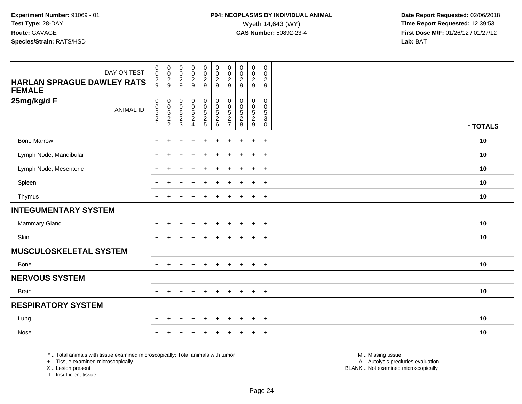| DAY ON TEST                                        | $\begin{smallmatrix}0\0\0\end{smallmatrix}$            | $\begin{array}{c} 0 \\ 0 \\ 2 \\ 9 \end{array}$              | $\pmb{0}$<br>$\pmb{0}$                                              | $\begin{array}{c} 0 \\ 0 \\ 2 \\ 9 \end{array}$ | $_0^0$                              |                                                                 | $\begin{smallmatrix} 0\\0 \end{smallmatrix}$                             | $_{\rm 0}^{\rm 0}$                                    | $\begin{array}{c} 0 \\ 0 \\ 2 \\ 9 \end{array}$                  | $\mathbf 0$<br>0                         |          |
|----------------------------------------------------|--------------------------------------------------------|--------------------------------------------------------------|---------------------------------------------------------------------|-------------------------------------------------|-------------------------------------|-----------------------------------------------------------------|--------------------------------------------------------------------------|-------------------------------------------------------|------------------------------------------------------------------|------------------------------------------|----------|
| <b>HARLAN SPRAGUE DAWLEY RATS</b><br><b>FEMALE</b> | $\frac{2}{9}$                                          |                                                              | $\frac{2}{9}$                                                       |                                                 | $\frac{2}{9}$                       |                                                                 | $\frac{2}{9}$                                                            | $\frac{2}{9}$                                         |                                                                  | $\sqrt{2}$<br>$\overline{9}$             |          |
| 25mg/kg/d F<br><b>ANIMAL ID</b>                    | $\begin{matrix}0\\0\\5\\2\end{matrix}$<br>$\mathbf{1}$ | $\pmb{0}$<br>$\begin{array}{c} 0 \\ 5 \\ 2 \\ 2 \end{array}$ | $\pmb{0}$<br>$\begin{array}{c} 0 \\ 5 \end{array}$<br>$\frac{2}{3}$ | 000524                                          | 0<br>$\frac{0}{5}$<br>$\frac{2}{5}$ | $\pmb{0}$<br>$\overline{0}$<br>5<br>$\boldsymbol{2}$<br>$\,6\,$ | $\pmb{0}$<br>$\pmb{0}$<br>$\sqrt{5}$<br>$\overline{c}$<br>$\overline{7}$ | 0<br>$\pmb{0}$<br>$\sqrt{5}$<br>$\boldsymbol{2}$<br>8 | $\pmb{0}$<br>$\frac{0}{5}$<br>$\overline{c}$<br>$\boldsymbol{9}$ | 0<br>0<br>$\sqrt{5}$<br>3<br>$\mathbf 0$ | * TOTALS |
| <b>Bone Marrow</b>                                 |                                                        |                                                              |                                                                     |                                                 |                                     |                                                                 |                                                                          |                                                       | $\mathbf +$                                                      | $\overline{ }$                           | 10       |
| Lymph Node, Mandibular                             | $\pm$                                                  | $\ddot{}$                                                    |                                                                     |                                                 |                                     |                                                                 |                                                                          |                                                       |                                                                  | $+$                                      | 10       |
| Lymph Node, Mesenteric                             |                                                        | ÷                                                            |                                                                     |                                                 |                                     |                                                                 |                                                                          |                                                       |                                                                  | $\overline{ }$                           | 10       |
| Spleen                                             |                                                        |                                                              |                                                                     |                                                 |                                     |                                                                 |                                                                          |                                                       | ÷                                                                | $\overline{ }$                           | 10       |
| Thymus                                             |                                                        |                                                              |                                                                     |                                                 | ÷                                   |                                                                 |                                                                          |                                                       | $\ddot{}$                                                        | $+$                                      | 10       |
| <b>INTEGUMENTARY SYSTEM</b>                        |                                                        |                                                              |                                                                     |                                                 |                                     |                                                                 |                                                                          |                                                       |                                                                  |                                          |          |
| <b>Mammary Gland</b>                               |                                                        |                                                              |                                                                     |                                                 |                                     |                                                                 |                                                                          |                                                       | $\div$                                                           | $\overline{ }$                           | 10       |
| Skin                                               | $+$                                                    | $\ddot{}$                                                    |                                                                     |                                                 |                                     |                                                                 |                                                                          |                                                       | $\ddot{}$                                                        | $+$                                      | 10       |
| <b>MUSCULOSKELETAL SYSTEM</b>                      |                                                        |                                                              |                                                                     |                                                 |                                     |                                                                 |                                                                          |                                                       |                                                                  |                                          |          |
| Bone                                               |                                                        |                                                              | $\pm$                                                               | $\div$                                          | $\ddot{}$                           | $\pm$                                                           | $\pm$                                                                    | $\pm$                                                 | $+$                                                              | $^{+}$                                   | 10       |
| <b>NERVOUS SYSTEM</b>                              |                                                        |                                                              |                                                                     |                                                 |                                     |                                                                 |                                                                          |                                                       |                                                                  |                                          |          |
| <b>Brain</b>                                       |                                                        |                                                              |                                                                     |                                                 | $\ddot{}$                           | $\ddot{}$                                                       |                                                                          |                                                       | $+$                                                              | $+$                                      | 10       |
| <b>RESPIRATORY SYSTEM</b>                          |                                                        |                                                              |                                                                     |                                                 |                                     |                                                                 |                                                                          |                                                       |                                                                  |                                          |          |
| Lung                                               |                                                        | $\pm$                                                        |                                                                     |                                                 | ÷                                   |                                                                 |                                                                          |                                                       |                                                                  | $^{+}$                                   | 10       |
| Nose                                               |                                                        |                                                              |                                                                     |                                                 |                                     |                                                                 |                                                                          |                                                       |                                                                  | $\div$                                   | 10       |

\* .. Total animals with tissue examined microscopically; Total animals with tumor

+ .. Tissue examined microscopically

X .. Lesion present

I .. Insufficient tissue